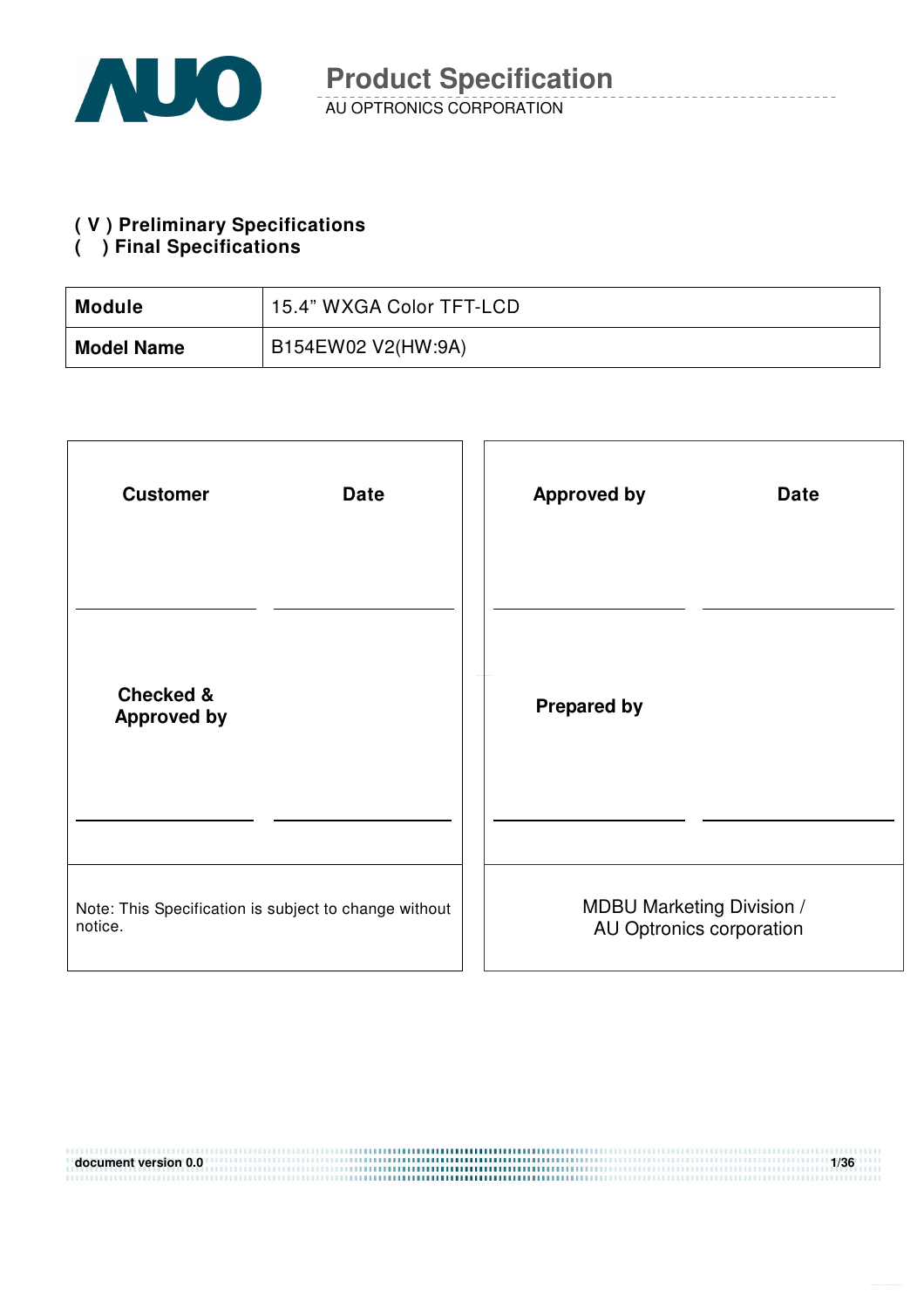

#### **( V ) Preliminary Specifications**

#### **( ) Final Specifications**

| <b>Module</b>     | 15.4" WXGA Color TFT-LCD |
|-------------------|--------------------------|
| <b>Model Name</b> | B154EW02 V2(HW:9A)       |

| <b>Customer</b>                                       | <b>Approved by</b>               |
|-------------------------------------------------------|----------------------------------|
| <b>Date</b>                                           | <b>Date</b>                      |
| <b>Checked &amp;</b><br><b>Approved by</b>            | <b>Prepared by</b>               |
| Note: This Specification is subject to change without | <b>MDBU Marketing Division /</b> |
| notice.                                               | AU Optronics corporation         |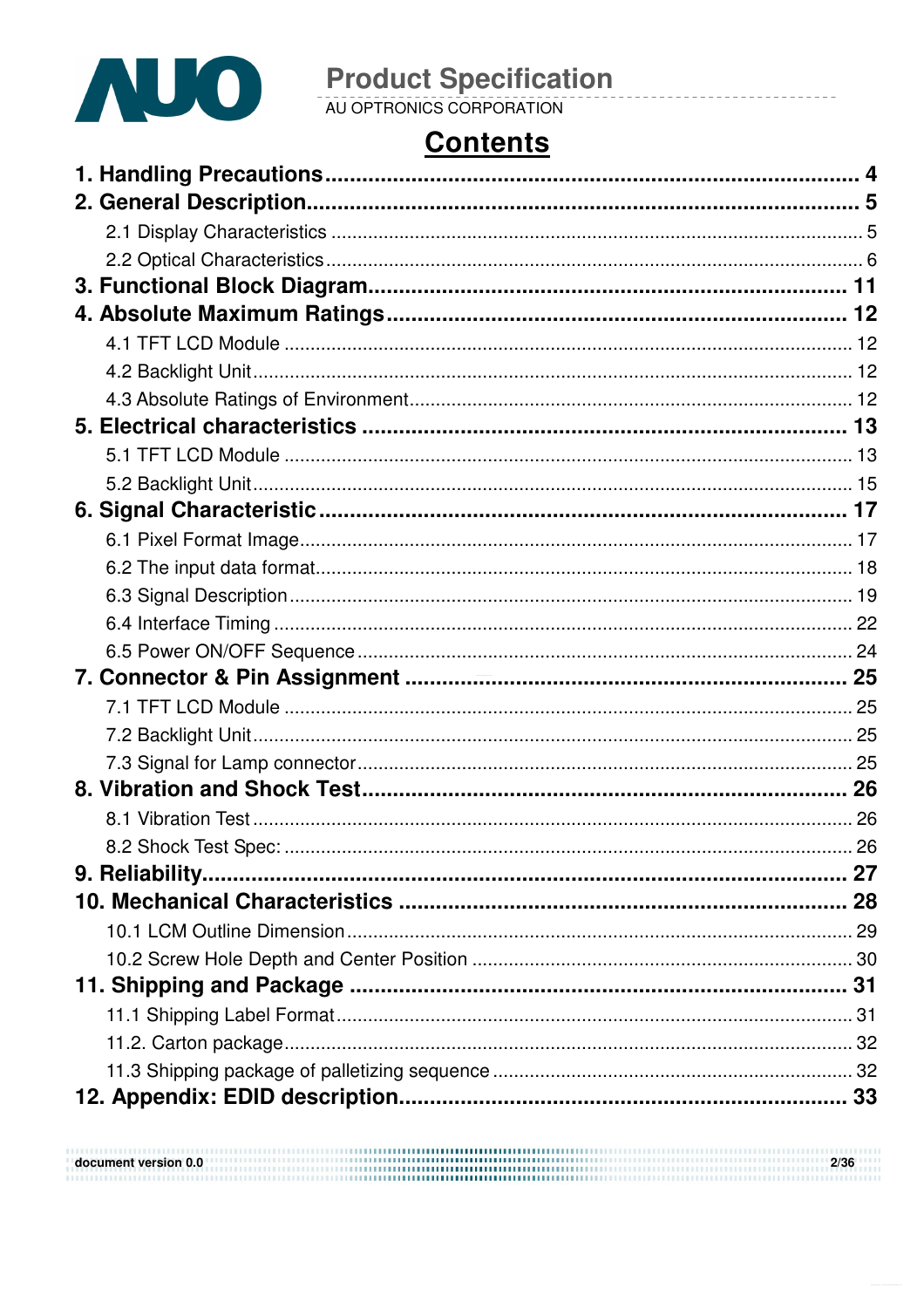

# **Contents**

| 8.2 Shock Test Spec: |  |
|----------------------|--|
|                      |  |
|                      |  |
|                      |  |
|                      |  |
|                      |  |
|                      |  |
|                      |  |
|                      |  |
|                      |  |
|                      |  |

| document version 0.0 | 2/36 |
|----------------------|------|
|                      |      |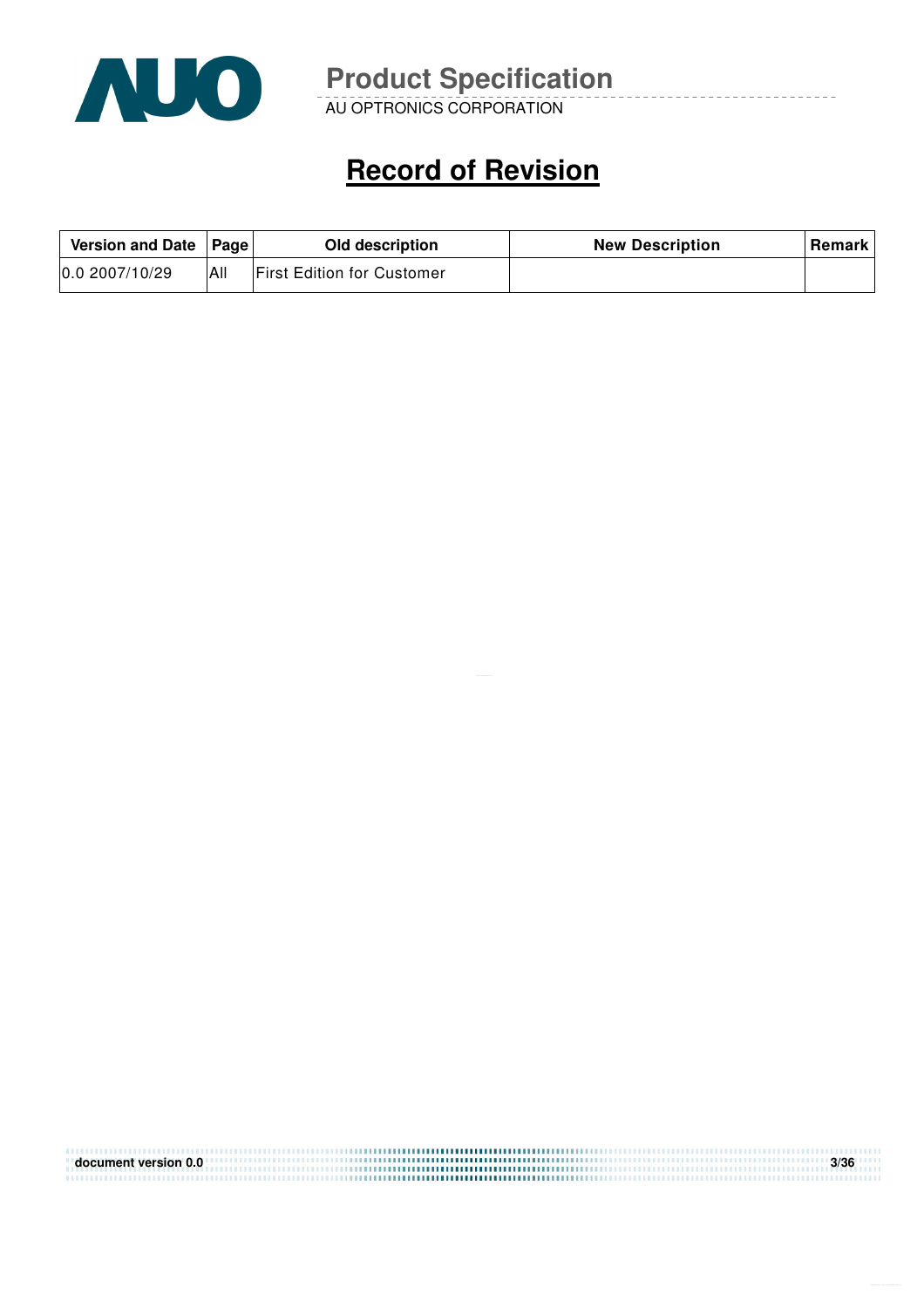

AU OPTRONICS CORPORATION

# **Record of Revision**

| Version and Date   Page |     | Old description                   | <b>New Description</b> | <b>Remark</b> |
|-------------------------|-----|-----------------------------------|------------------------|---------------|
| 0.02007/10/29           | All | <b>First Edition for Customer</b> |                        |               |

| document version 0.0 | 3/36 |
|----------------------|------|
|                      |      |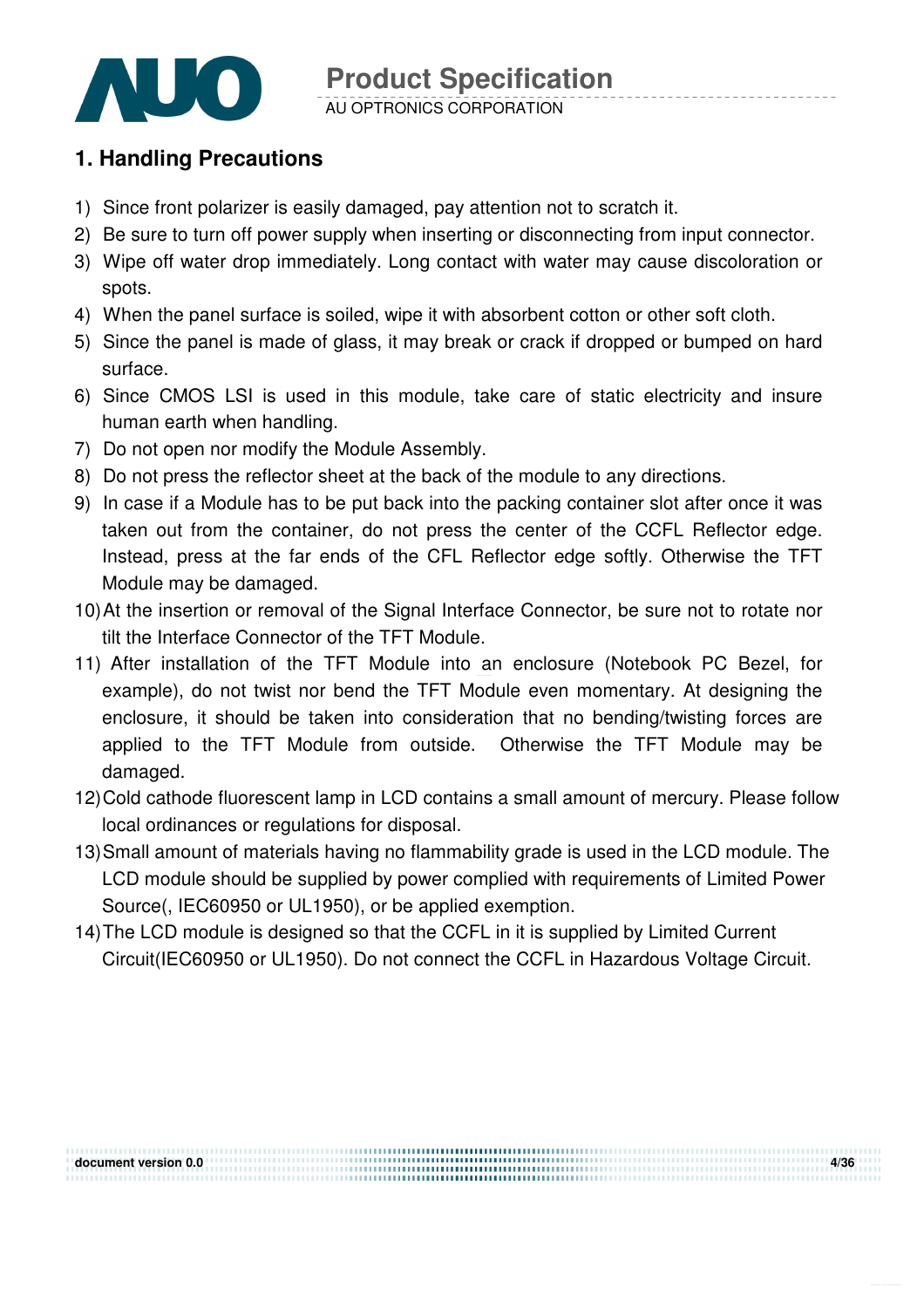

#### **1. Handling Precautions**

- 1) Since front polarizer is easily damaged, pay attention not to scratch it.
- 2) Be sure to turn off power supply when inserting or disconnecting from input connector.
- 3) Wipe off water drop immediately. Long contact with water may cause discoloration or spots.
- 4) When the panel surface is soiled, wipe it with absorbent cotton or other soft cloth.
- 5) Since the panel is made of glass, it may break or crack if dropped or bumped on hard surface.
- 6) Since CMOS LSI is used in this module, take care of static electricity and insure human earth when handling.
- 7) Do not open nor modify the Module Assembly.
- 8) Do not press the reflector sheet at the back of the module to any directions.
- 9) In case if a Module has to be put back into the packing container slot after once it was taken out from the container, do not press the center of the CCFL Reflector edge. Instead, press at the far ends of the CFL Reflector edge softly. Otherwise the TFT Module may be damaged.
- 10) At the insertion or removal of the Signal Interface Connector, be sure not to rotate nor tilt the Interface Connector of the TFT Module.
- 11) After installation of the TFT Module into an enclosure (Notebook PC Bezel, for example), do not twist nor bend the TFT Module even momentary. At designing the enclosure, it should be taken into consideration that no bending/twisting forces are applied to the TFT Module from outside. Otherwise the TFT Module may be damaged.
- 12) Cold cathode fluorescent lamp in LCD contains a small amount of mercury. Please follow local ordinances or regulations for disposal.
- 13) Small amount of materials having no flammability grade is used in the LCD module. The LCD module should be supplied by power complied with requirements of Limited Power Source(, IEC60950 or UL1950), or be applied exemption.
- 14) The LCD module is designed so that the CCFL in it is supplied by Limited Current Circuit(IEC60950 or UL1950). Do not connect the CCFL in Hazardous Voltage Circuit.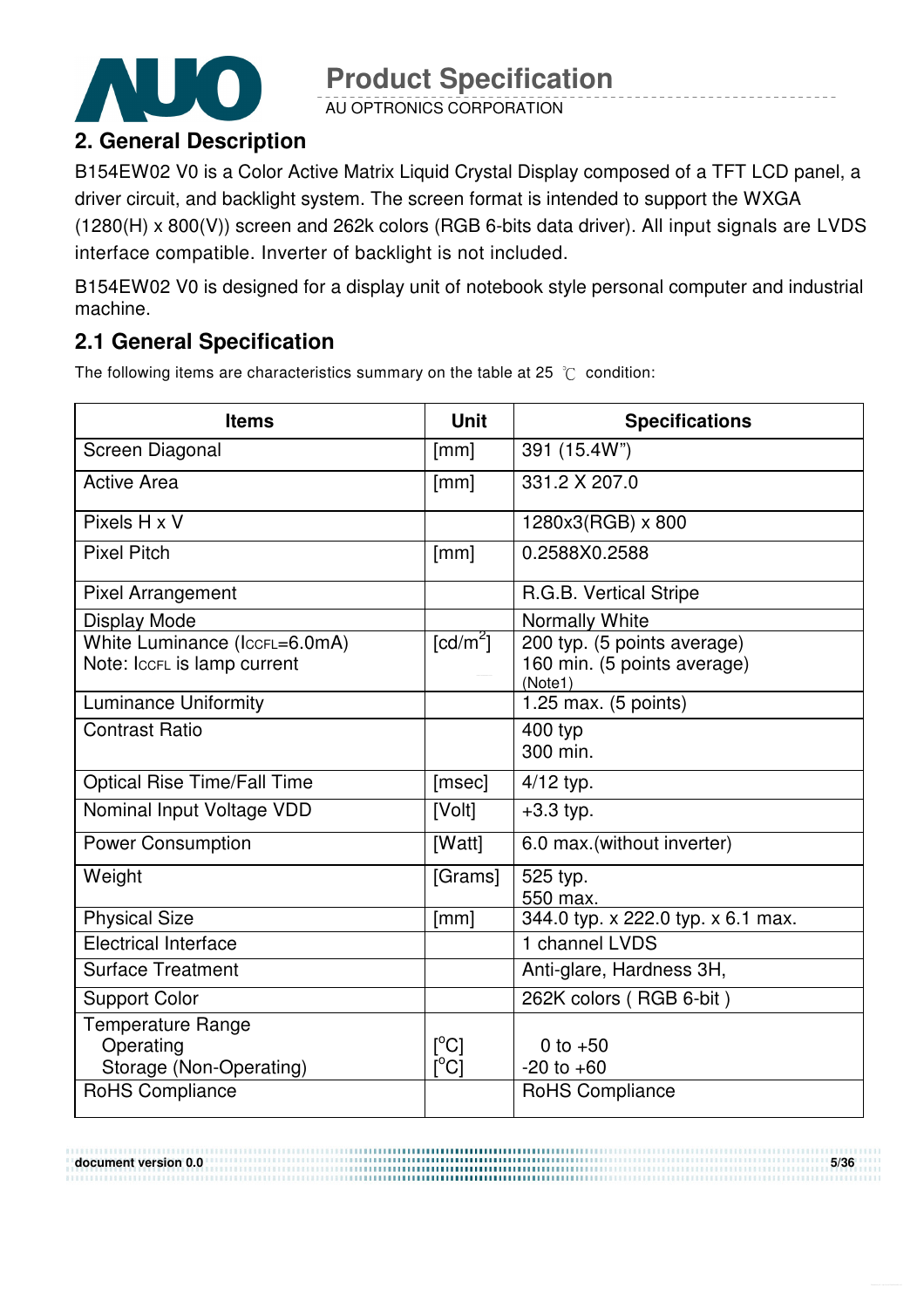

AU OPTRONICS CORPORATION

# **2. General Description**

B154EW02 V0 is a Color Active Matrix Liquid Crystal Display composed of a TFT LCD panel, a driver circuit, and backlight system. The screen format is intended to support the WXGA (1280(H) x 800(V)) screen and 262k colors (RGB 6-bits data driver). All input signals are LVDS interface compatible. Inverter of backlight is not included.

B154EW02 V0 is designed for a display unit of notebook style personal computer and industrial machine.

# **2.1 General Specification**

The following items are characteristics summary on the table at 25  $\degree$ C condition:

| <b>Items</b>                                                     | <b>Unit</b>                                                          | <b>Specifications</b>                                                 |
|------------------------------------------------------------------|----------------------------------------------------------------------|-----------------------------------------------------------------------|
| Screen Diagonal                                                  | [mm]                                                                 | 391 (15.4W")                                                          |
| <b>Active Area</b>                                               | [mm]                                                                 | 331.2 X 207.0                                                         |
| Pixels H x V                                                     |                                                                      | 1280x3(RGB) x 800                                                     |
| <b>Pixel Pitch</b>                                               | [mm]                                                                 | 0.2588X0.2588                                                         |
| <b>Pixel Arrangement</b>                                         |                                                                      | R.G.B. Vertical Stripe                                                |
| <b>Display Mode</b>                                              |                                                                      | Normally White                                                        |
| White Luminance (IccFL=6.0mA)<br>Note: IccFL is lamp current     | $\lceil cd/m^2 \rceil$                                               | 200 typ. (5 points average)<br>160 min. (5 points average)<br>(Note1) |
| <b>Luminance Uniformity</b>                                      |                                                                      | 1.25 max. (5 points)                                                  |
| <b>Contrast Ratio</b>                                            |                                                                      | 400 typ<br>300 min.                                                   |
| <b>Optical Rise Time/Fall Time</b>                               | [msec]                                                               | $4/12$ typ.                                                           |
| Nominal Input Voltage VDD                                        | [Volt]                                                               | $+3.3$ typ.                                                           |
| <b>Power Consumption</b>                                         | [Watt]                                                               | 6.0 max.(without inverter)                                            |
| Weight                                                           | [Grams]                                                              | 525 typ.<br>550 max.                                                  |
| <b>Physical Size</b>                                             | [mm]                                                                 | 344.0 typ. x 222.0 typ. x 6.1 max.                                    |
| <b>Electrical Interface</b>                                      |                                                                      | 1 channel LVDS                                                        |
| <b>Surface Treatment</b>                                         |                                                                      | Anti-glare, Hardness 3H,                                              |
| <b>Support Color</b>                                             |                                                                      | 262K colors (RGB 6-bit)                                               |
| <b>Temperature Range</b><br>Operating<br>Storage (Non-Operating) | $\lceil{^{\circ}C}\rceil$<br>$\mathsf{I}^\circ\mathsf{C} \mathsf{I}$ | 0 to $+50$<br>$-20$ to $+60$                                          |
| <b>RoHS Compliance</b>                                           |                                                                      | <b>RoHS Compliance</b>                                                |

...................................

**document version 0.0 5/36**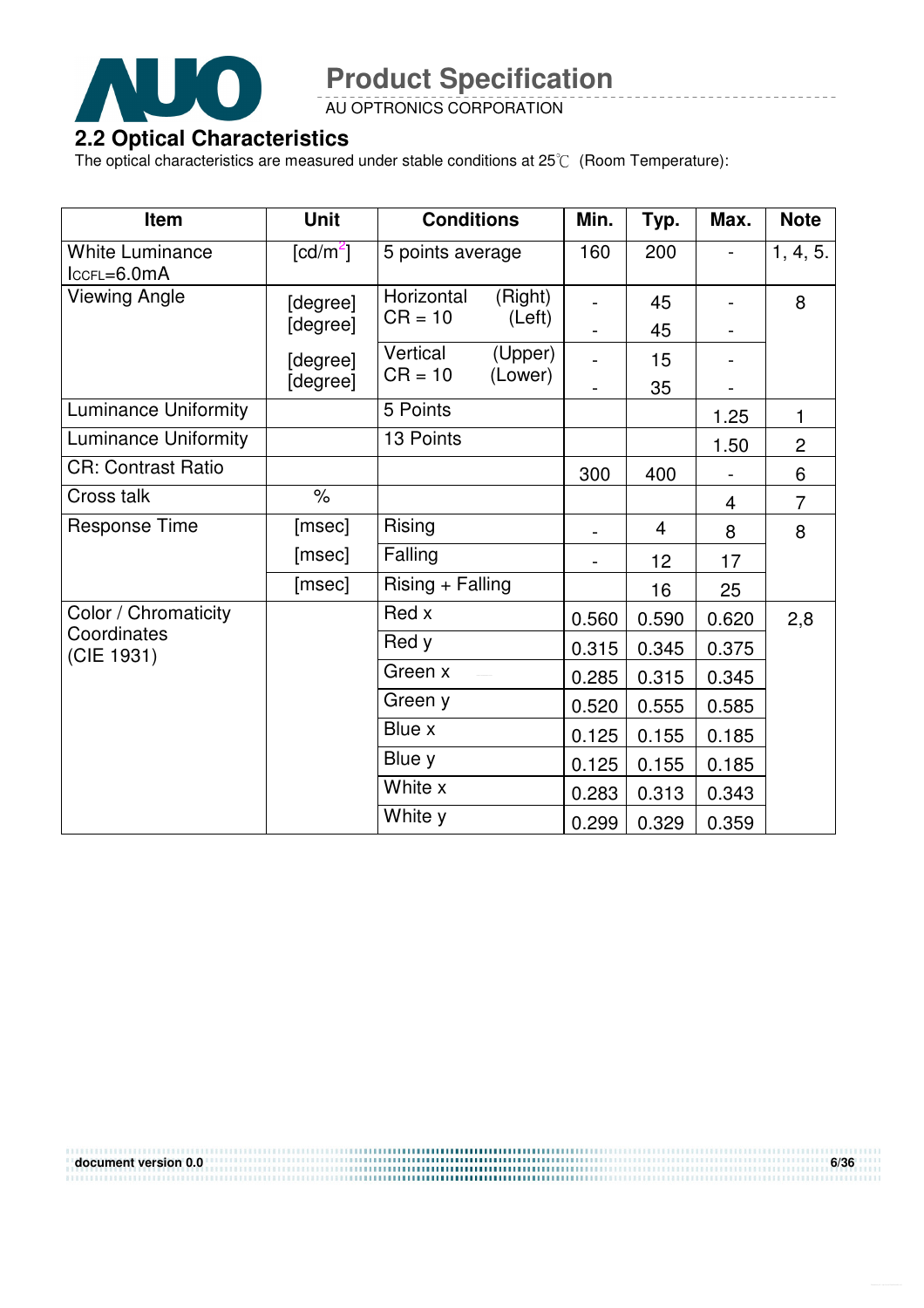

AU OPTRONICS CORPORATION

#### **2.2 Optical Characteristics**

The optical characteristics are measured under stable conditions at 25 $\degree$  (Room Temperature):

| Item                                    | <b>Unit</b>              | <b>Conditions</b>       |                    | Min.  | Typ.           | Max.  | <b>Note</b>    |
|-----------------------------------------|--------------------------|-------------------------|--------------------|-------|----------------|-------|----------------|
| <b>White Luminance</b><br>$lccFL=6.0mA$ | $\lfloor cd/m^2 \rfloor$ | 5 points average        |                    | 160   | 200            |       | 1, 4, 5.       |
| Viewing Angle                           | [degree]<br>[degree]     | Horizontal<br>$CR = 10$ | (Right)<br>(Left)  |       | 45<br>45       |       | 8              |
|                                         | [degree]<br>[degree]     | Vertical<br>$CR = 10$   | (Upper)<br>(Lower) |       | 15<br>35       |       |                |
| <b>Luminance Uniformity</b>             |                          | 5 Points                |                    |       |                | 1.25  | 1              |
| <b>Luminance Uniformity</b>             |                          | 13 Points               |                    |       |                | 1.50  | $\overline{2}$ |
| <b>CR: Contrast Ratio</b>               |                          |                         |                    | 300   | 400            |       | 6              |
| Cross talk                              | $\frac{1}{\sqrt{2}}$     |                         |                    |       |                | 4     | $\overline{7}$ |
| <b>Response Time</b>                    | [msec]                   | Rising                  |                    |       | $\overline{4}$ | 8     | 8              |
|                                         | [msec]                   | Falling                 |                    |       | 12             | 17    |                |
|                                         | [msec]                   | Rising + Falling        |                    |       | 16             | 25    |                |
| Color / Chromaticity                    |                          | Red x                   |                    | 0.560 | 0.590          | 0.620 | 2,8            |
| Coordinates<br>(CIE 1931)               |                          | Red y                   |                    | 0.315 | 0.345          | 0.375 |                |
|                                         |                          | Green x                 |                    | 0.285 | 0.315          | 0.345 |                |
|                                         |                          | Green y                 |                    | 0.520 | 0.555          | 0.585 |                |
|                                         |                          | Blue x                  |                    | 0.125 | 0.155          | 0.185 |                |
|                                         |                          | Blue y                  |                    | 0.125 | 0.155          | 0.185 |                |
|                                         |                          | White x                 |                    | 0.283 | 0.313          | 0.343 |                |
|                                         |                          | White y                 |                    | 0.299 | 0.329          | 0.359 |                |

**document version 0.0 6/36**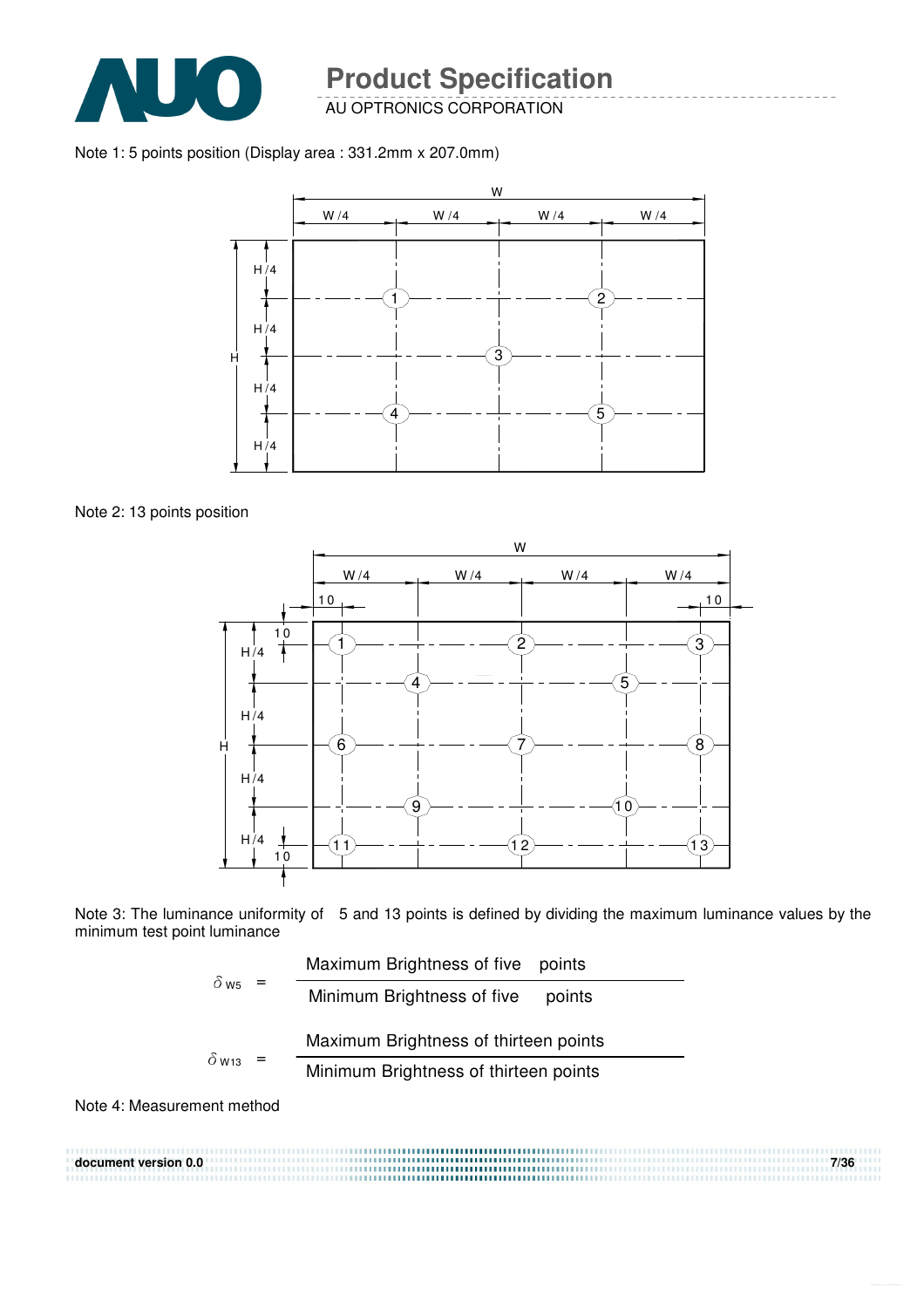

AU OPTRONICS CORPORATION

Note 1: 5 points position (Display area : 331.2mm x 207.0mm)



Note 2: 13 points position



Note 3: The luminance uniformity of 5 and 13 points is defined by dividing the maximum luminance values by the minimum test point luminance

$$
\delta_{\text{W5}} = \frac{\text{Maximum Brighness of five points}}{\text{Minimum Brightness of five points}}
$$
\n
$$
\delta_{\text{W13}} = \frac{\text{Maximum Brightness of thirteen points}}{\text{Minimum Brightness of thirteen points}}
$$

Note 4: Measurement method

**document version 0.0 7/36**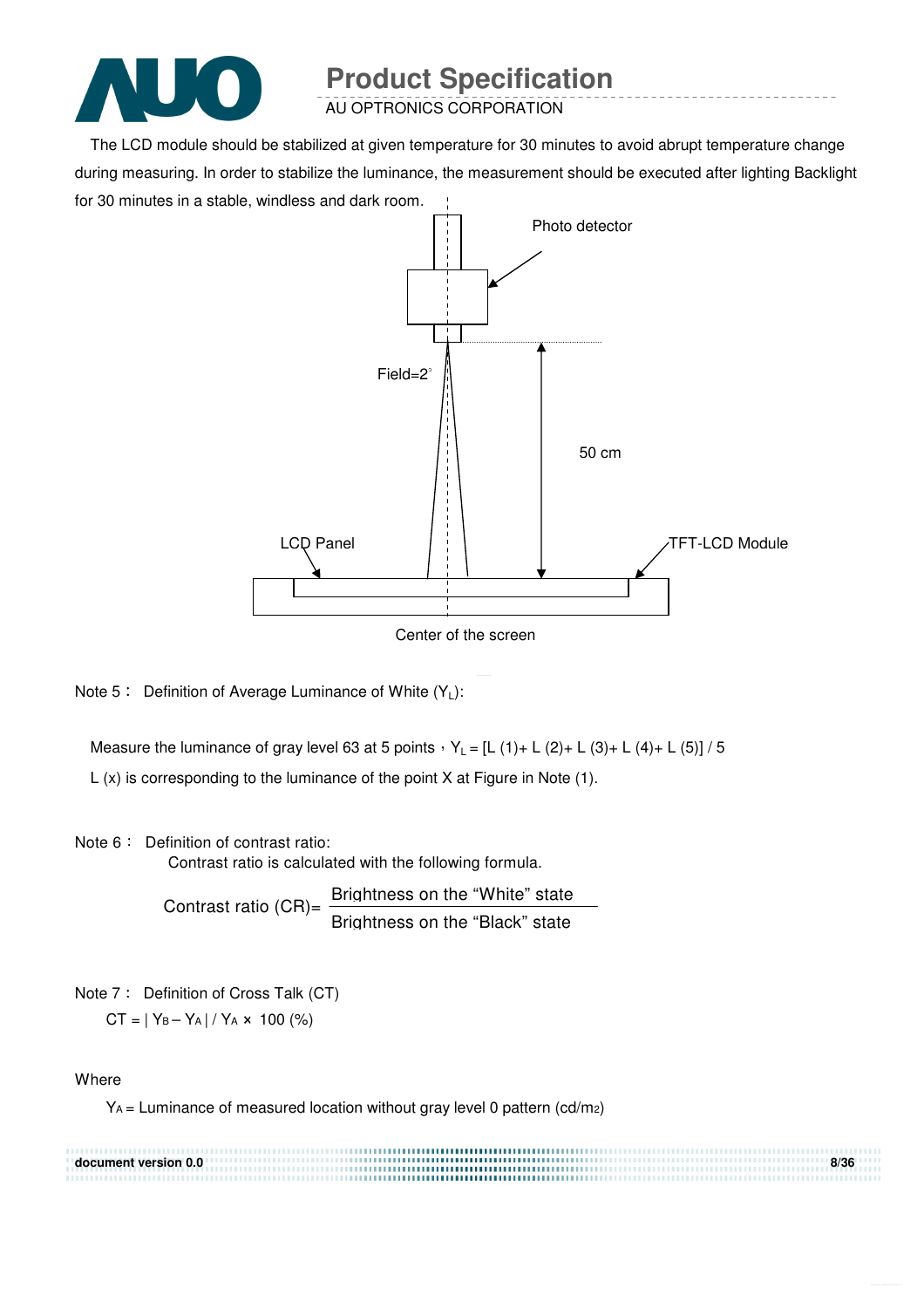

AU OPTRONICS CORPORATION

The LCD module should be stabilized at given temperature for 30 minutes to avoid abrupt temperature change during measuring. In order to stabilize the luminance, the measurement should be executed after lighting Backlight for 30 minutes in a stable, windless and dark room.



Center of the screen

Note  $5:$  Definition of Average Luminance of White  $(Y_L):$ 

Measure the luminance of gray level 63 at 5 points  $Y_L = [L (1) + L (2) + L (3) + L (4) + L (5)] / 5$ 

L (x) is corresponding to the luminance of the point X at Figure in Note (1).

#### Note 6: Definition of contrast ratio:

Contrast ratio is calculated with the following formula.

Contrast ratio  $(CR)$ = Brightness on the "White" state Brightness on the "Black" state

Note 7: Definition of Cross Talk (CT)  $CT = |Y_B - Y_A| / Y_A \times 100$  (%)

#### **Where**

 $Y_A$  = Luminance of measured location without gray level 0 pattern (cd/m2)

| document version 0.0 | 8/36 |
|----------------------|------|
|                      |      |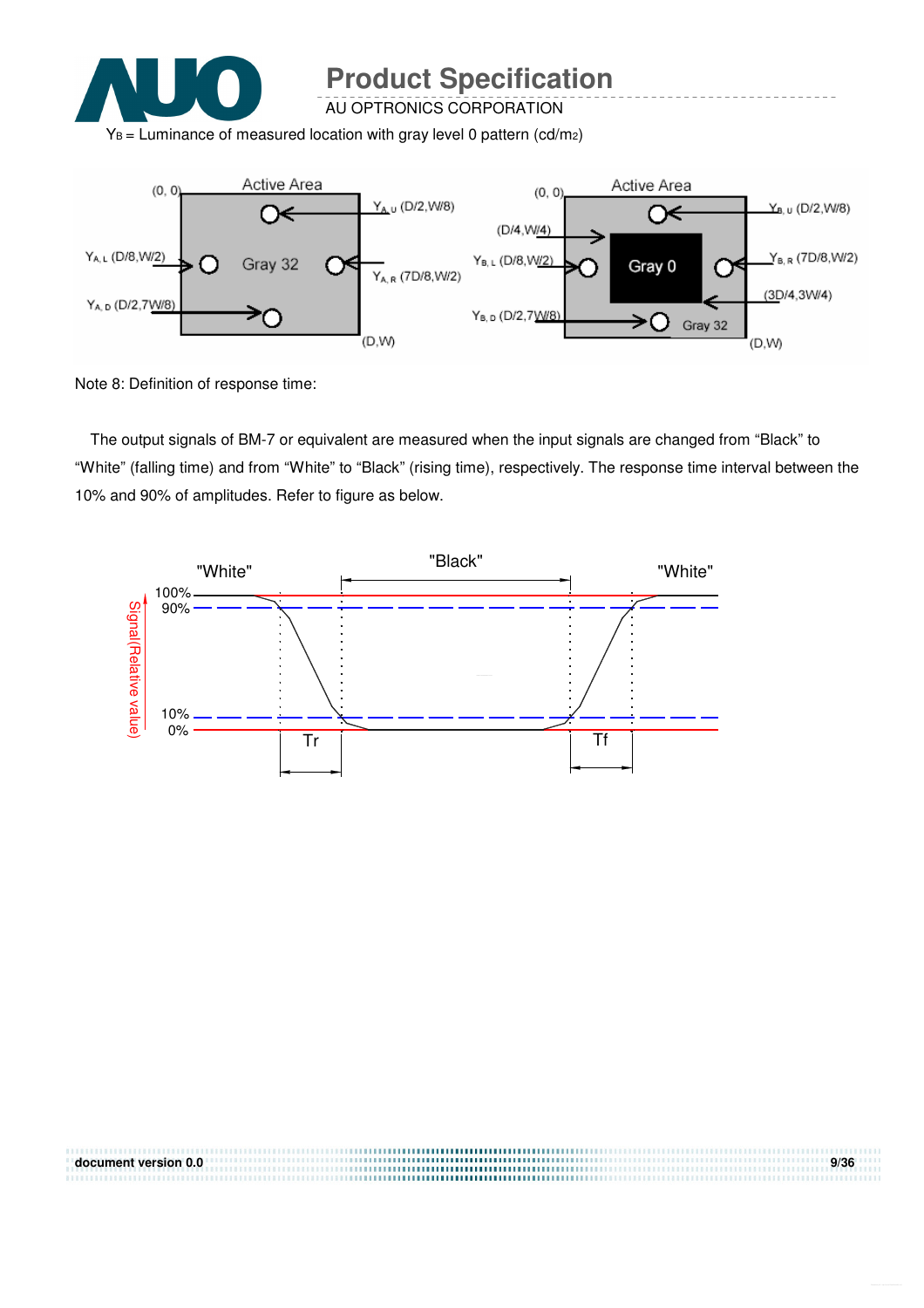

AU OPTRONICS CORPORATION

 $Y_B$  = Luminance of measured location with gray level 0 pattern (cd/m2)



Note 8: Definition of response time:

The output signals of BM-7 or equivalent are measured when the input signals are changed from "Black" to "White" (falling time) and from "White" to "Black" (rising time), respectively. The response time interval between the 10% and 90% of amplitudes. Refer to figure as below.



**document version 0.0 9/36**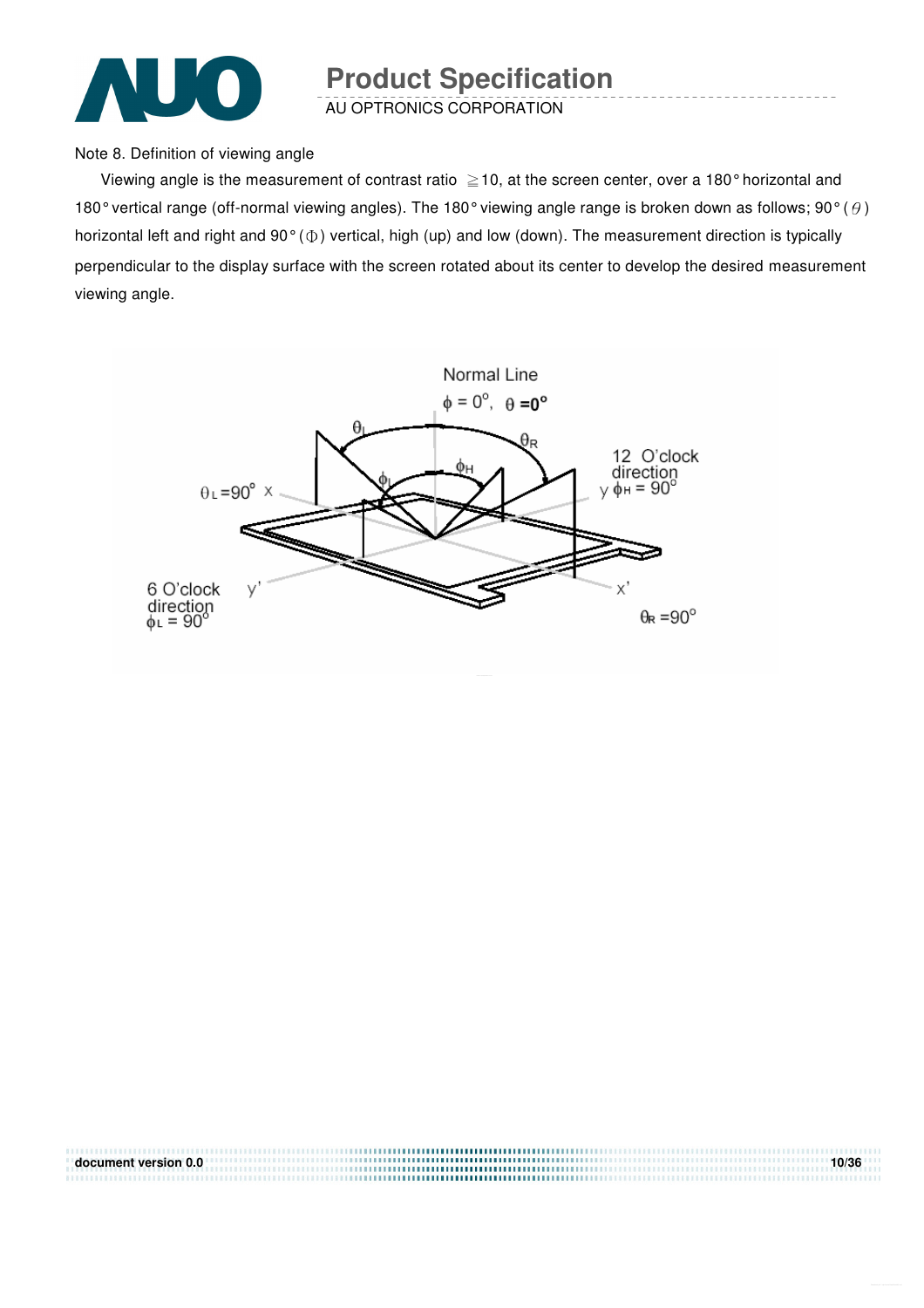

AU OPTRONICS CORPORATION

Note 8. Definition of viewing angle

Viewing angle is the measurement of contrast ratio  $\geq$  10, at the screen center, over a 180° horizontal and 180° vertical range (off-normal viewing angles). The 180° viewing angle range is broken down as follows; 90° ( $\theta$ ) horizontal left and right and  $90^{\circ}$  ( $\Phi$ ) vertical, high (up) and low (down). The measurement direction is typically perpendicular to the display surface with the screen rotated about its center to develop the desired measurement viewing angle.



| document version 0.0 | 10/36 |
|----------------------|-------|
|                      |       |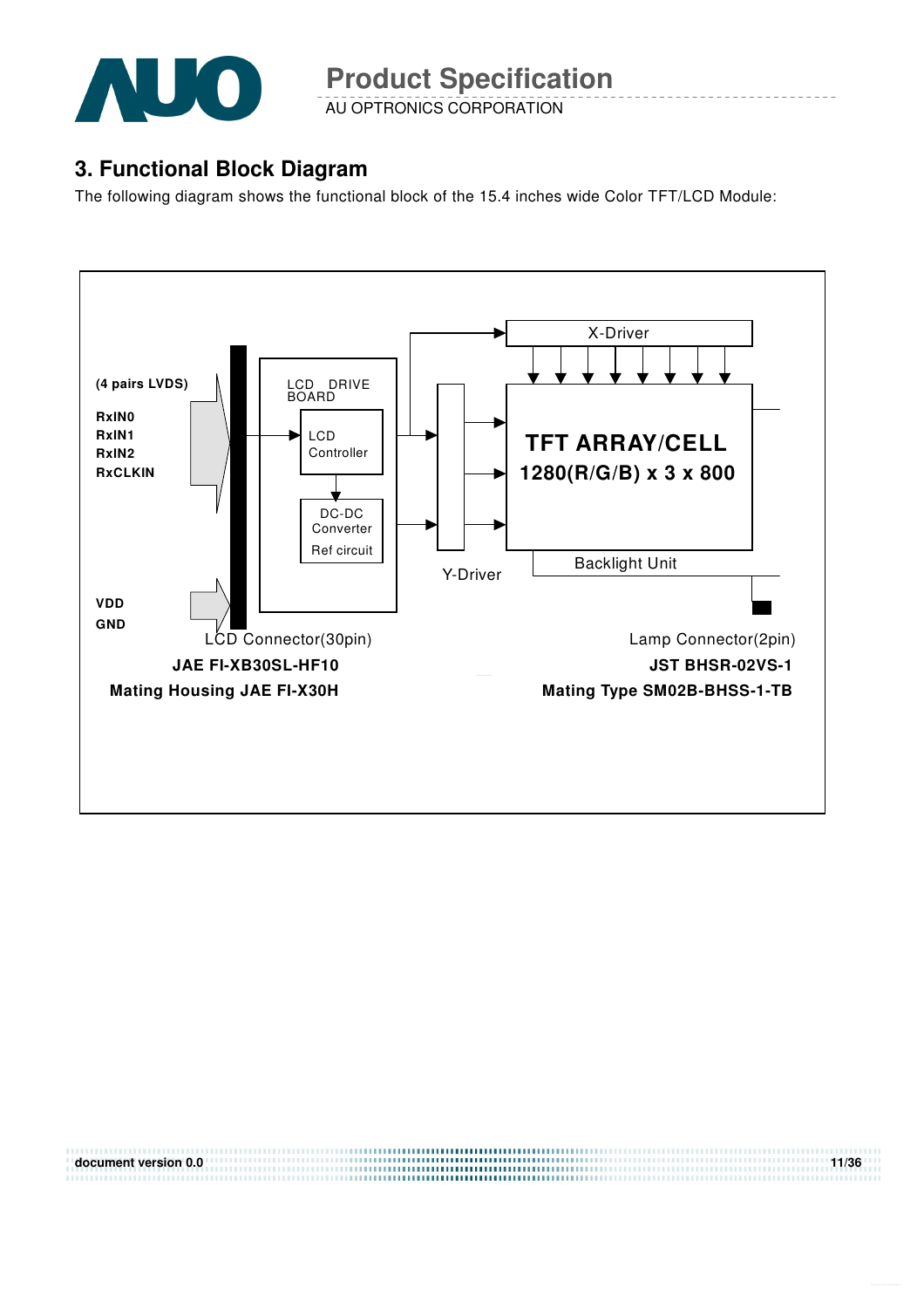

AU OPTRONICS CORPORATION

### **3. Functional Block Diagram**

The following diagram shows the functional block of the 15.4 inches wide Color TFT/LCD Module:



**document version 0.0** 11/36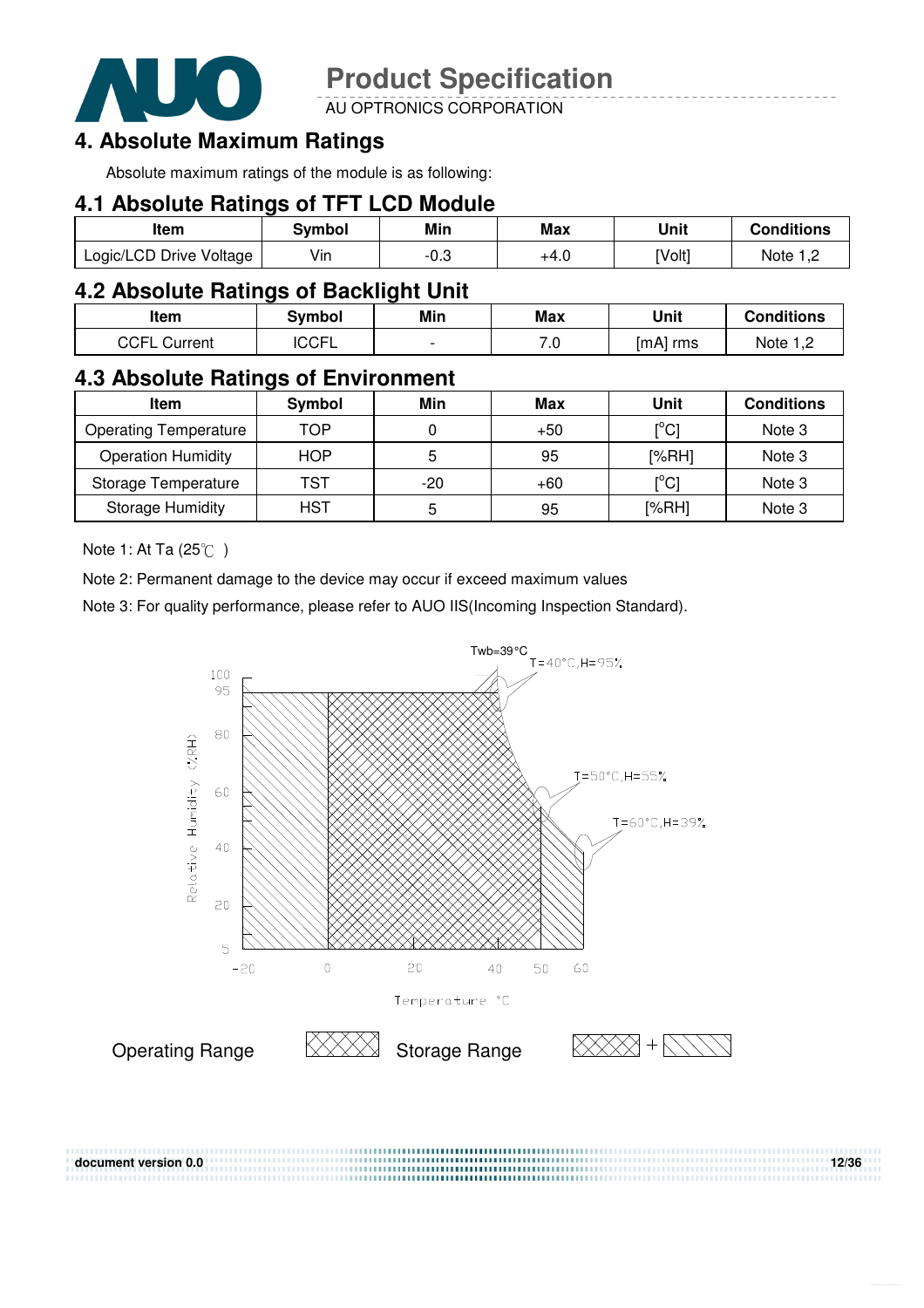

AU OPTRONICS CORPORATION

### **4. Absolute Maximum Ratings**

Absolute maximum ratings of the module is as following:

#### **4.1 Absolute Ratings of TFT LCD Module**

| ltem                    | Svmbol | Min  | Max  | Unit   | <b>Conditions</b> |
|-------------------------|--------|------|------|--------|-------------------|
| Logic/LCD Drive Voltage | Vin    | ن.∪- | +4.0 | [Volt] | Note              |

#### **4.2 Absolute Ratings of Backlight Unit**

| Item                   | Svmbol | Min                      | Max | Unit     | <b>Conditions</b> |
|------------------------|--------|--------------------------|-----|----------|-------------------|
| CCFL<br>Current<br>· ∟ | 'CCFL  | $\overline{\phantom{0}}$ | 7.0 | [mA] rms | Note 1 C          |

### **4.3 Absolute Ratings of Environment**

| Item                         | Symbol     | Min   | Max   | Unit                                    | <b>Conditions</b> |
|------------------------------|------------|-------|-------|-----------------------------------------|-------------------|
| <b>Operating Temperature</b> | TOP        |       | $+50$ | $\mathsf{I}^\circ\mathsf{C} \mathsf{I}$ | Note 3            |
| <b>Operation Humidity</b>    | <b>HOP</b> | 5     | 95    | [%RH]                                   | Note 3            |
| Storage Temperature          | TST        | $-20$ | $+60$ | $\mathsf{I}^\circ\mathsf{C}\mathsf{I}$  | Note 3            |
| <b>Storage Humidity</b>      | <b>HST</b> | 5     | 95    | [%RH]                                   | Note 3            |

Note 1: At Ta  $(25^{\circ}\text{C})$ 

Note 2: Permanent damage to the device may occur if exceed maximum values

Note 3: For quality performance, please refer to AUO IIS(Incoming Inspection Standard).

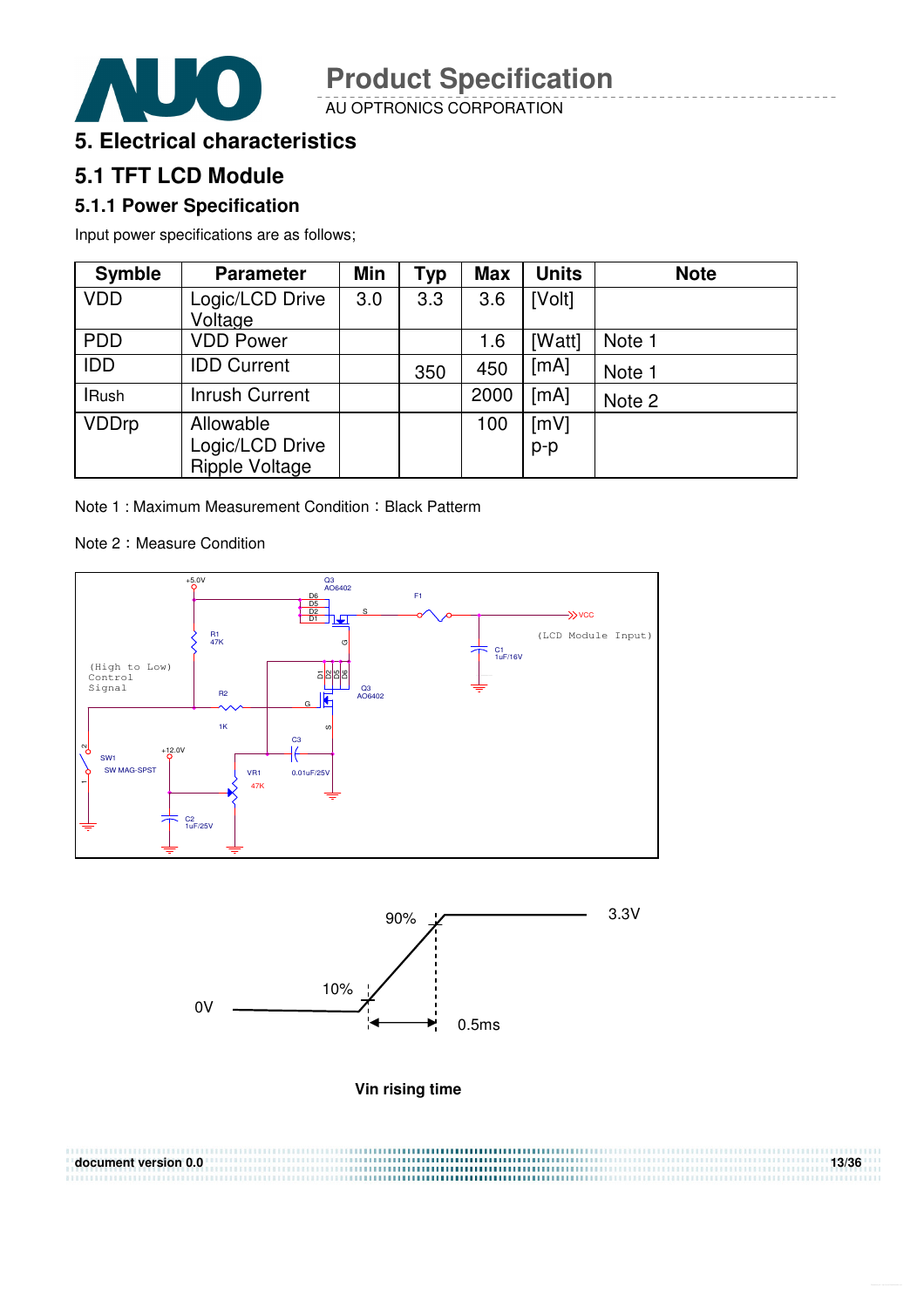

AU OPTRONICS CORPORATION



### **5.1 TFT LCD Module**

#### **5.1.1 Power Specification**

Input power specifications are as follows;

| <b>Symble</b> | <b>Parameter</b>      | <b>Min</b> | <b>Typ</b> | <b>Max</b> | <b>Units</b> | <b>Note</b> |
|---------------|-----------------------|------------|------------|------------|--------------|-------------|
| <b>VDD</b>    | Logic/LCD Drive       | 3.0        | 3.3        | 3.6        | [Volt]       |             |
|               | Voltage               |            |            |            |              |             |
| <b>PDD</b>    | <b>VDD Power</b>      |            |            | 1.6        | [Watt]       | Note 1      |
| <b>IDD</b>    | <b>IDD Current</b>    |            | 350        | 450        | [mA]         | Note 1      |
| <b>IRush</b>  | <b>Inrush Current</b> |            |            | 2000       | [mA]         | Note 2      |
| <b>VDDrp</b>  | Allowable             |            |            | 100        | [mV]         |             |
|               | Logic/LCD Drive       |            |            |            | $p-p$        |             |
|               | Ripple Voltage        |            |            |            |              |             |

Note 1 : Maximum Measurement Condition : Black Patterm

#### Note 2: Measure Condition





**Vin rising time** 

| document version 0.0 | 13/36 |
|----------------------|-------|
|                      |       |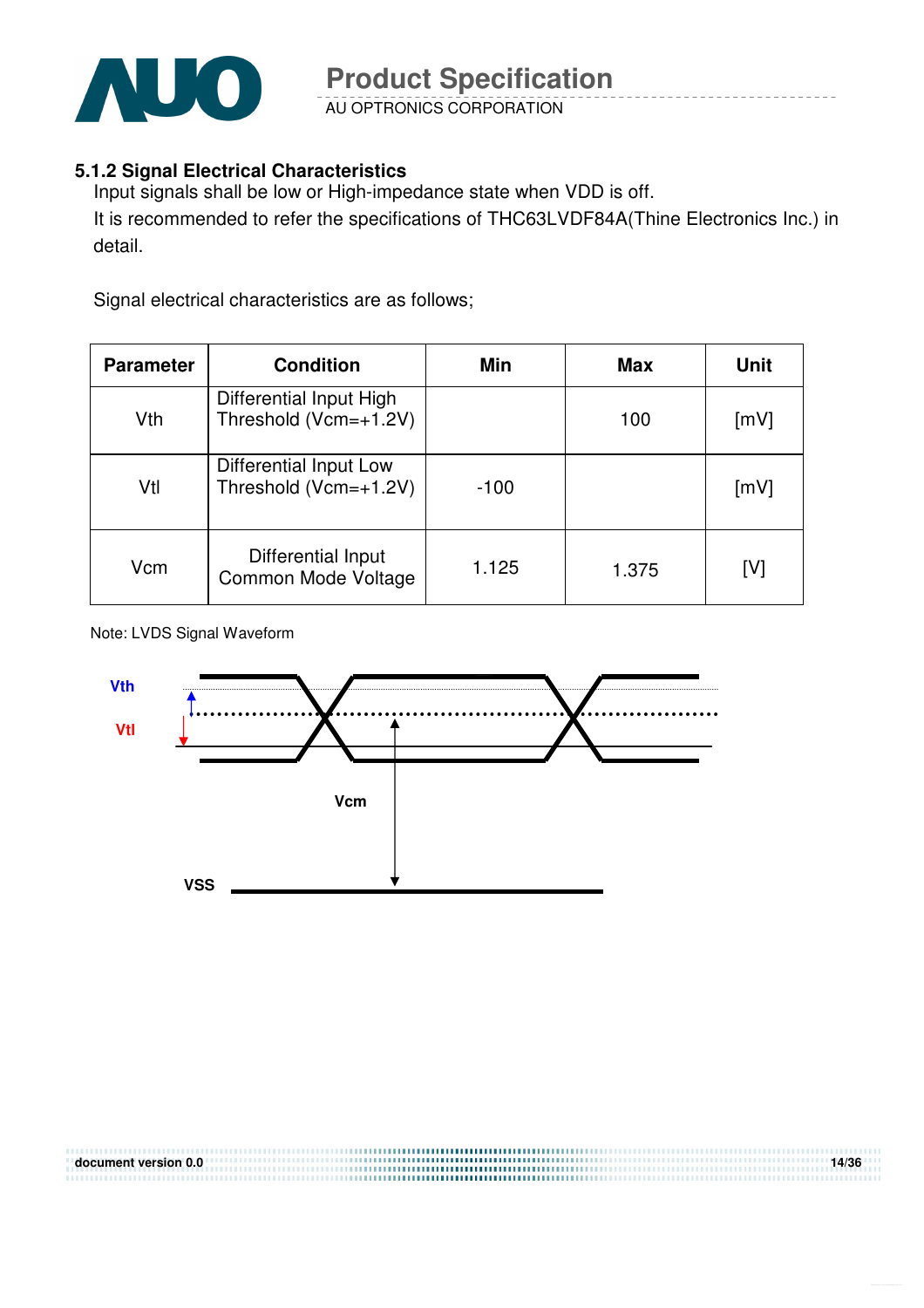

AU OPTRONICS CORPORATION

#### **5.1.2 Signal Electrical Characteristics**

Input signals shall be low or High-impedance state when VDD is off. It is recommended to refer the specifications of THC63LVDF84A(Thine Electronics Inc.) in detail.

Signal electrical characteristics are as follows;

| <b>Parameter</b> | <b>Condition</b>                                 | Min    | <b>Max</b> | Unit |
|------------------|--------------------------------------------------|--------|------------|------|
| Vth              | Differential Input High<br>Threshold (Vcm=+1.2V) |        | 100        | [mV] |
| Vtl              | Differential Input Low<br>Threshold (Vcm=+1.2V)  | $-100$ |            | [mV] |
| Vcm              | Differential Input<br>Common Mode Voltage        | 1.125  | 1.375      | [V]  |

Note: LVDS Signal Waveform

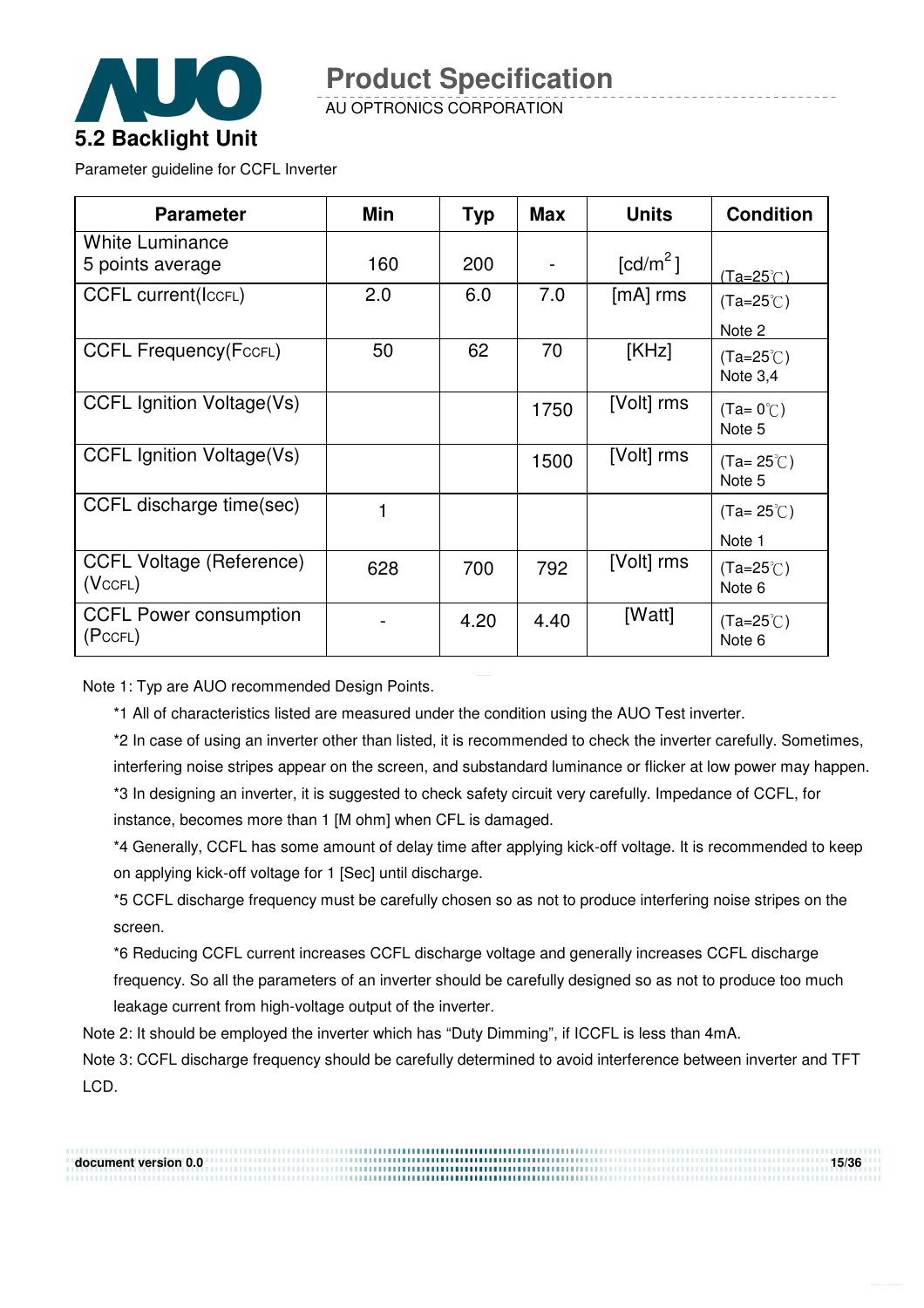

AU OPTRONICS CORPORATION

Parameter guideline for CCFL Inverter

| <b>Parameter</b>                           | Min | <b>Typ</b> | <b>Max</b> | <b>Units</b>           | <b>Condition</b>                 |
|--------------------------------------------|-----|------------|------------|------------------------|----------------------------------|
| <b>White Luminance</b><br>5 points average | 160 | 200        |            | $\lceil cd/m^2 \rceil$ | $(Ta=25^\circ C)$                |
| <b>CCFL current(IccFL)</b>                 | 2.0 | 6.0        | 7.0        | $[mA]$ rms             | $(Ta=25^{\circ}C)$<br>Note 2     |
| <b>CCFL Frequency (FccFL)</b>              | 50  | 62         | 70         | [KHz]                  | $(Ta=25^{\circ}C)$<br>Note $3,4$ |
| <b>CCFL Ignition Voltage(Vs)</b>           |     |            | 1750       | [Volt] rms             | $(Ta=0^{\circ}C)$<br>Note 5      |
| <b>CCFL Ignition Voltage(Vs)</b>           |     |            | 1500       | [Volt] rms             | $(Ta=25^{\circ}C)$<br>Note 5     |
| CCFL discharge time(sec)                   | 1   |            |            |                        | $(Ta=25^{\circ}C)$<br>Note 1     |
| <b>CCFL Voltage (Reference)</b><br>(VccFL) | 628 | 700        | 792        | [Volt] rms             | $(Ta=25^{\circ}C)$<br>Note 6     |
| <b>CCFL Power consumption</b><br>(PccFL)   |     | 4.20       | 4.40       | [Watt]                 | $(Ta=25^{\circ}C)$<br>Note 6     |

Note 1: Typ are AUO recommended Design Points.

\*1 All of characteristics listed are measured under the condition using the AUO Test inverter.

\*2 In case of using an inverter other than listed, it is recommended to check the inverter carefully. Sometimes, interfering noise stripes appear on the screen, and substandard luminance or flicker at low power may happen. \*3 In designing an inverter, it is suggested to check safety circuit very carefully. Impedance of CCFL, for instance, becomes more than 1 [M ohm] when CFL is damaged.

\*4 Generally, CCFL has some amount of delay time after applying kick-off voltage. It is recommended to keep on applying kick-off voltage for 1 [Sec] until discharge.

\*5 CCFL discharge frequency must be carefully chosen so as not to produce interfering noise stripes on the screen.

\*6 Reducing CCFL current increases CCFL discharge voltage and generally increases CCFL discharge frequency. So all the parameters of an inverter should be carefully designed so as not to produce too much leakage current from high-voltage output of the inverter.

Note 2: It should be employed the inverter which has "Duty Dimming", if ICCFL is less than 4mA.

Note 3: CCFL discharge frequency should be carefully determined to avoid interference between inverter and TFT LCD.

**document version 0.0 15/36**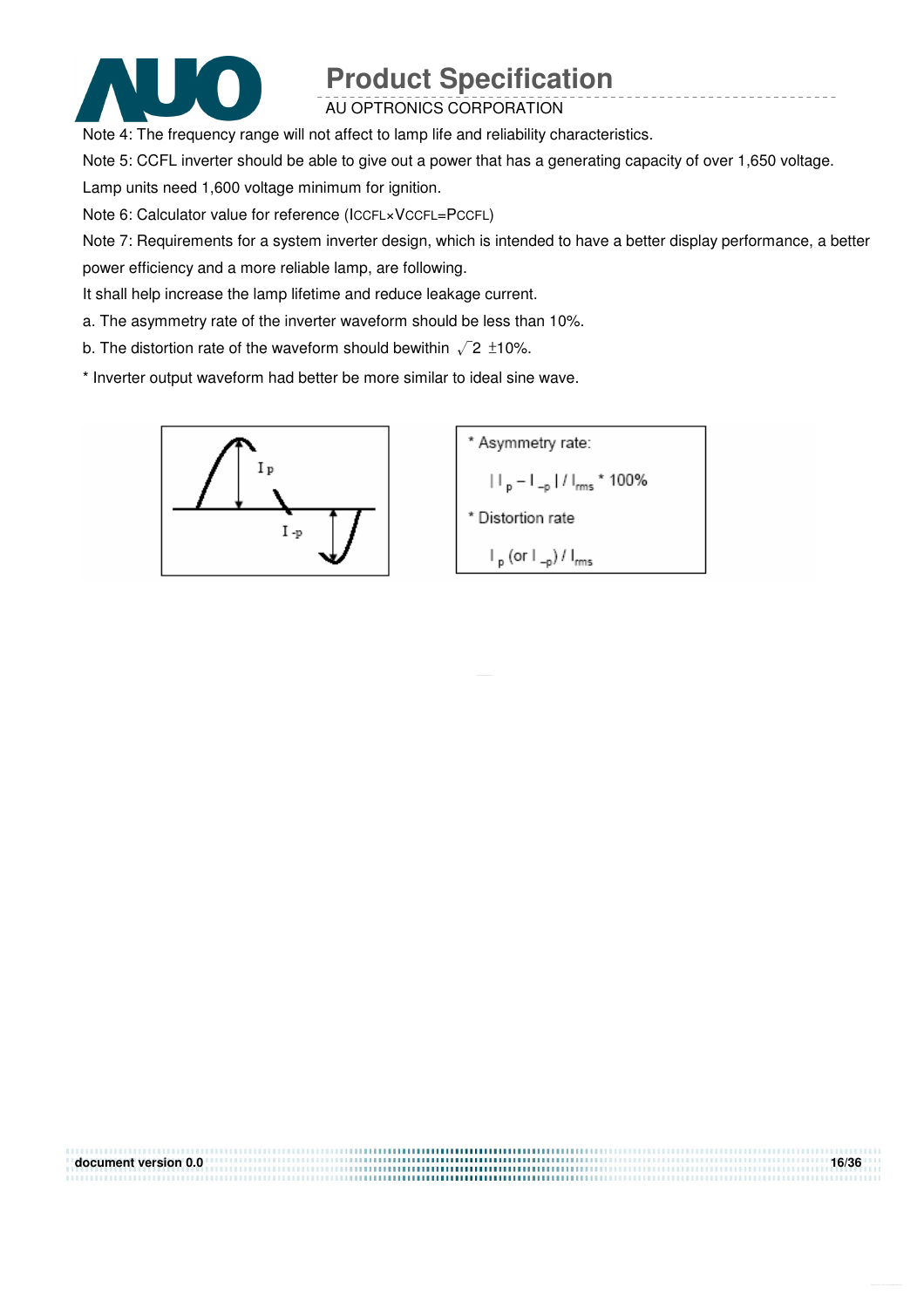

#### AU OPTRONICS CORPORATION

Note 4: The frequency range will not affect to lamp life and reliability characteristics.

Note 5: CCFL inverter should be able to give out a power that has a generating capacity of over 1,650 voltage.

Lamp units need 1,600 voltage minimum for ignition.

Note 6: Calculator value for reference (ICCFL×VCCFL=PCCFL)

Note 7: Requirements for a system inverter design, which is intended to have a better display performance, a better power efficiency and a more reliable lamp, are following.

It shall help increase the lamp lifetime and reduce leakage current.

a. The asymmetry rate of the inverter waveform should be less than 10%.

b. The distortion rate of the waveform should bewithin  $\sqrt{2} \pm 10\%$ .

\* Inverter output waveform had better be more similar to ideal sine wave.



| document version 0.0 | 16/36 |
|----------------------|-------|
|                      |       |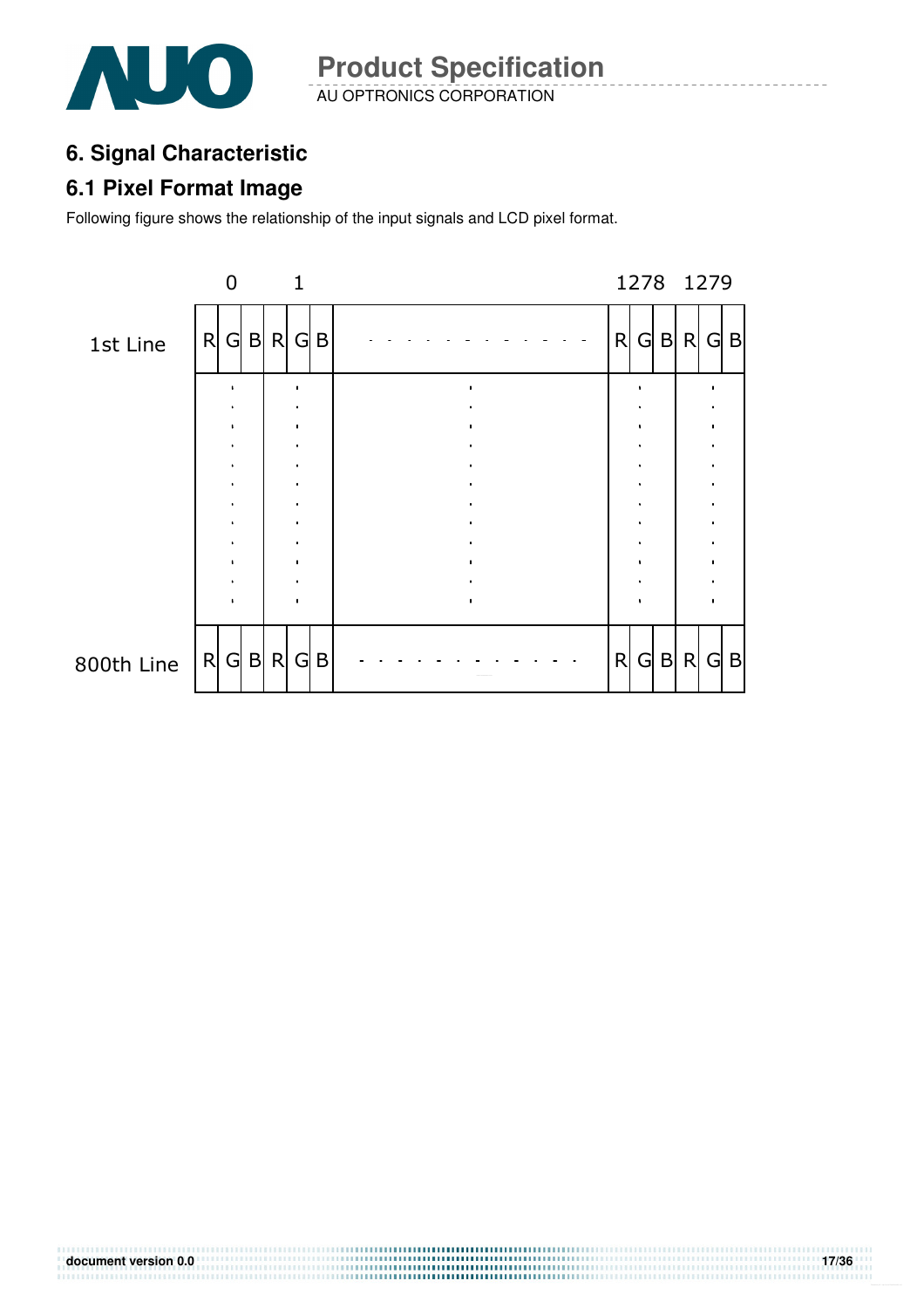

AU OPTRONICS CORPORATION **Product Specification** 

# **6. Signal Characteristic**

### **6.1 Pixel Format Image**

Following figure shows the relationship of the input signals and LCD pixel format.

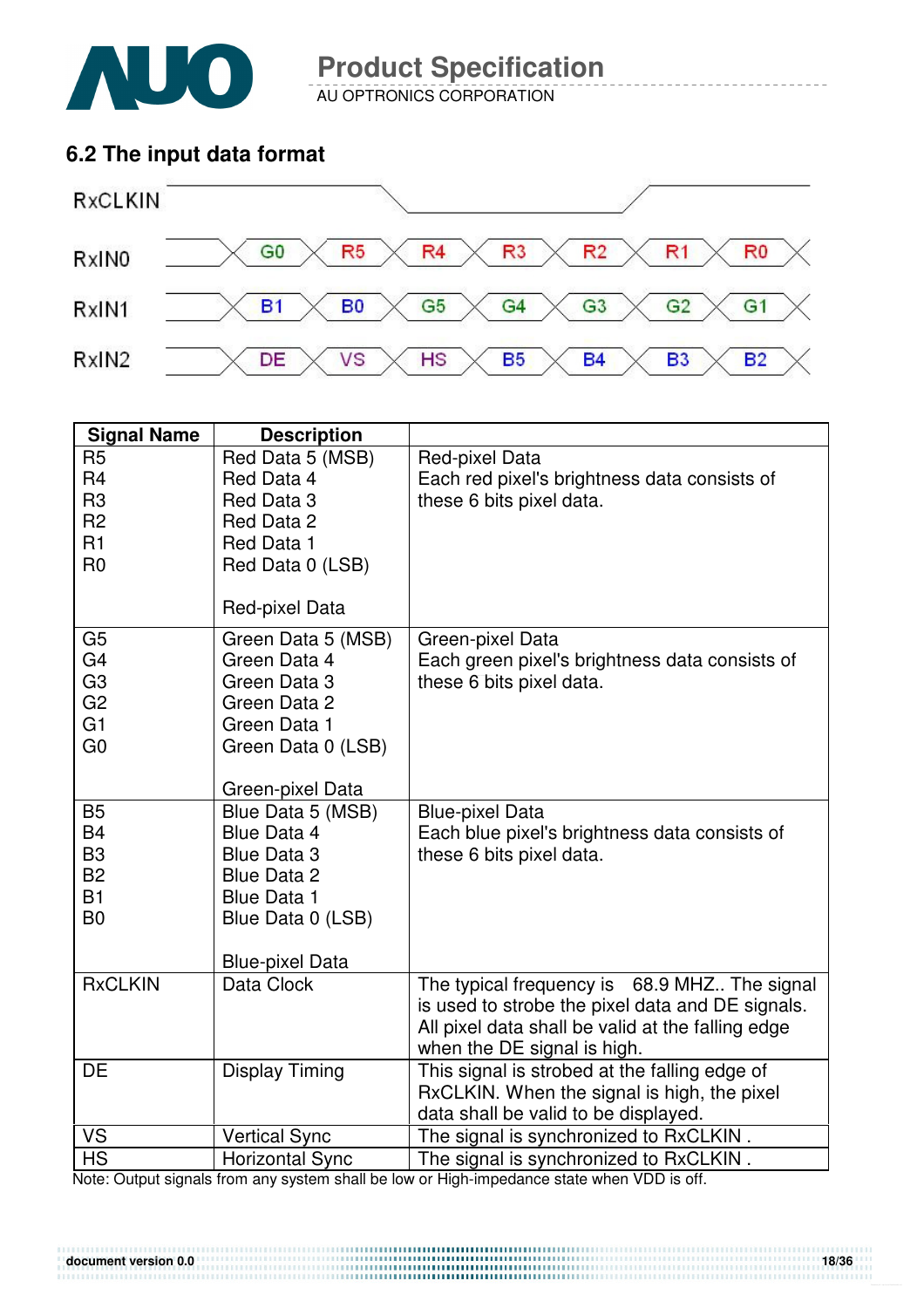

AU OPTRONICS CORPORATION

### **6.2 The input data format**



| <b>Signal Name</b>               | <b>Description</b>                |                                                                                  |
|----------------------------------|-----------------------------------|----------------------------------------------------------------------------------|
| R <sub>5</sub><br>R <sub>4</sub> | Red Data 5 (MSB)<br>Red Data 4    | Red-pixel Data<br>Each red pixel's brightness data consists of                   |
| R <sub>3</sub>                   | Red Data 3                        | these 6 bits pixel data.                                                         |
| R <sub>2</sub><br>R1             | Red Data 2                        |                                                                                  |
| R <sub>0</sub>                   | Red Data 1<br>Red Data 0 (LSB)    |                                                                                  |
|                                  |                                   |                                                                                  |
|                                  | Red-pixel Data                    |                                                                                  |
| G <sub>5</sub>                   | Green Data 5 (MSB)                | Green-pixel Data                                                                 |
| G <sub>4</sub>                   | Green Data 4                      | Each green pixel's brightness data consists of                                   |
| G <sub>3</sub><br>G <sub>2</sub> | Green Data 3<br>Green Data 2      | these 6 bits pixel data.                                                         |
| G1                               | Green Data 1                      |                                                                                  |
| G <sub>0</sub>                   | Green Data 0 (LSB)                |                                                                                  |
|                                  |                                   |                                                                                  |
|                                  | Green-pixel Data                  |                                                                                  |
| <b>B5</b>                        | Blue Data 5 (MSB)                 | <b>Blue-pixel Data</b>                                                           |
| <b>B4</b><br>B <sub>3</sub>      | Blue Data 4<br><b>Blue Data 3</b> | Each blue pixel's brightness data consists of<br>these 6 bits pixel data.        |
| <b>B2</b>                        | Blue Data 2                       |                                                                                  |
| <b>B1</b>                        | <b>Blue Data 1</b>                |                                                                                  |
| B <sub>0</sub>                   | Blue Data 0 (LSB)                 |                                                                                  |
|                                  |                                   |                                                                                  |
|                                  | <b>Blue-pixel Data</b>            |                                                                                  |
| <b>RxCLKIN</b>                   | Data Clock                        | The typical frequency is 68.9 MHZ The signal                                     |
|                                  |                                   | is used to strobe the pixel data and DE signals.                                 |
|                                  |                                   | All pixel data shall be valid at the falling edge<br>when the DE signal is high. |
| <b>DE</b>                        | <b>Display Timing</b>             | This signal is strobed at the falling edge of                                    |
|                                  |                                   | RxCLKIN. When the signal is high, the pixel                                      |
|                                  |                                   | data shall be valid to be displayed.                                             |
| <b>VS</b>                        | <b>Vertical Sync</b>              | The signal is synchronized to RxCLKIN.                                           |
| <b>HS</b>                        | <b>Horizontal Sync</b>            | The signal is synchronized to RxCLKIN.                                           |

Note: Output signals from any system shall be low or High-impedance state when VDD is off.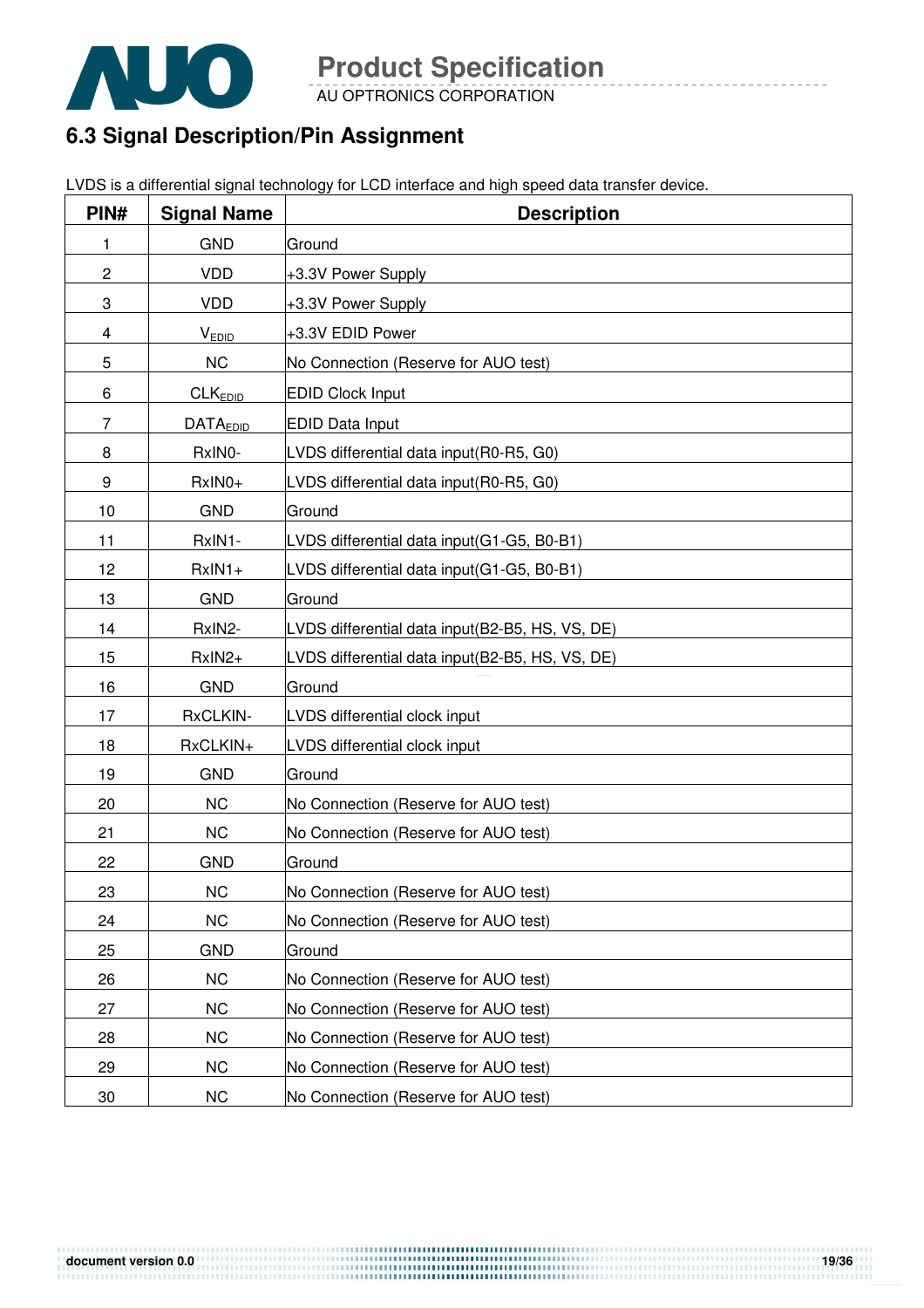

AU OPTRONICS CORPORATION

# **6.3 Signal Description/Pin Assignment**

|  | LVDS is a differential signal technology for LCD interface and high speed data transfer device. |
|--|-------------------------------------------------------------------------------------------------|

| PIN#           | <b>Signal Name</b>  | <b>Description</b>                              |
|----------------|---------------------|-------------------------------------------------|
| 1              | <b>GND</b>          | Ground                                          |
| $\overline{c}$ | <b>VDD</b>          | +3.3V Power Supply                              |
| 3              | <b>VDD</b>          | +3.3V Power Supply                              |
| 4              | <b>VEDID</b>        | +3.3V EDID Power                                |
| 5              | <b>NC</b>           | No Connection (Reserve for AUO test)            |
| 6              | CLK <sub>EDID</sub> | <b>EDID Clock Input</b>                         |
| 7              | <b>DATAEDID</b>     | <b>EDID Data Input</b>                          |
| 8              | RxINO-              | LVDS differential data input(R0-R5, G0)         |
| 9              | RxIN0+              | LVDS differential data input(R0-R5, G0)         |
| 10             | <b>GND</b>          | Ground                                          |
| 11             | RxIN1-              | LVDS differential data input(G1-G5, B0-B1)      |
| 12             | $RxIN1+$            | LVDS differential data input(G1-G5, B0-B1)      |
| 13             | <b>GND</b>          | Ground                                          |
| 14             | RxIN2-              | LVDS differential data input(B2-B5, HS, VS, DE) |
| 15             | RxIN2+              | LVDS differential data input(B2-B5, HS, VS, DE) |
| 16             | <b>GND</b>          | Ground                                          |
| 17             | RxCLKIN-            | LVDS differential clock input                   |
| 18             | RxCLKIN+            | LVDS differential clock input                   |
| 19             | <b>GND</b>          | Ground                                          |
| 20             | <b>NC</b>           | No Connection (Reserve for AUO test)            |
| 21             | <b>NC</b>           | No Connection (Reserve for AUO test)            |
| 22             | <b>GND</b>          | Ground                                          |
| 23             | <b>NC</b>           | No Connection (Reserve for AUO test)            |
| 24             | <b>NC</b>           | No Connection (Reserve for AUO test)            |
| 25             | <b>GND</b>          | Ground                                          |
| 26             | <b>NC</b>           | No Connection (Reserve for AUO test)            |
| 27             | <b>NC</b>           | No Connection (Reserve for AUO test)            |
| 28             | <b>NC</b>           | No Connection (Reserve for AUO test)            |
| 29             | <b>NC</b>           | No Connection (Reserve for AUO test)            |
| 30             | <b>NC</b>           | No Connection (Reserve for AUO test)            |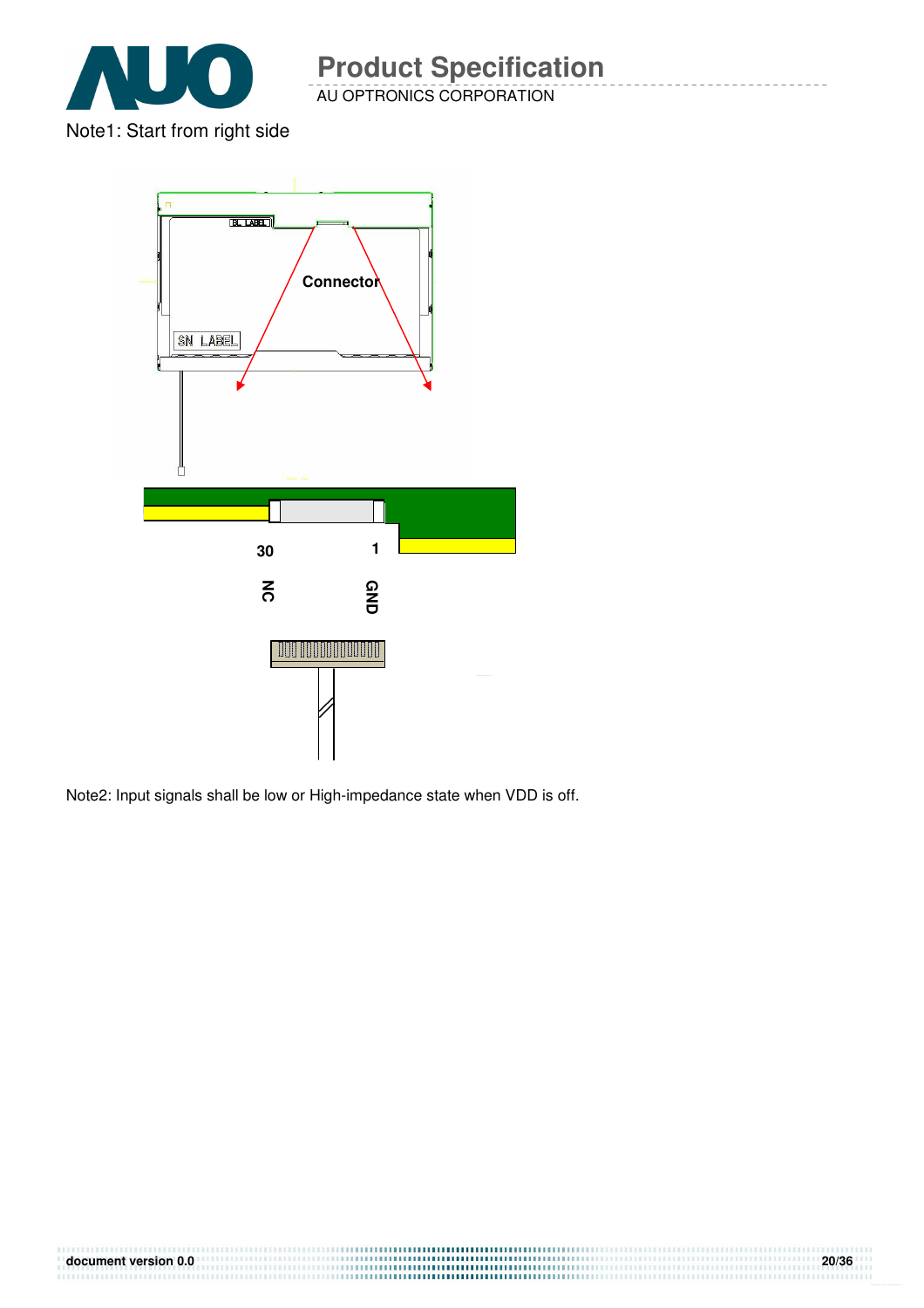

Note1: Start from right side



Note2: Input signals shall be low or High-impedance state when VDD is off.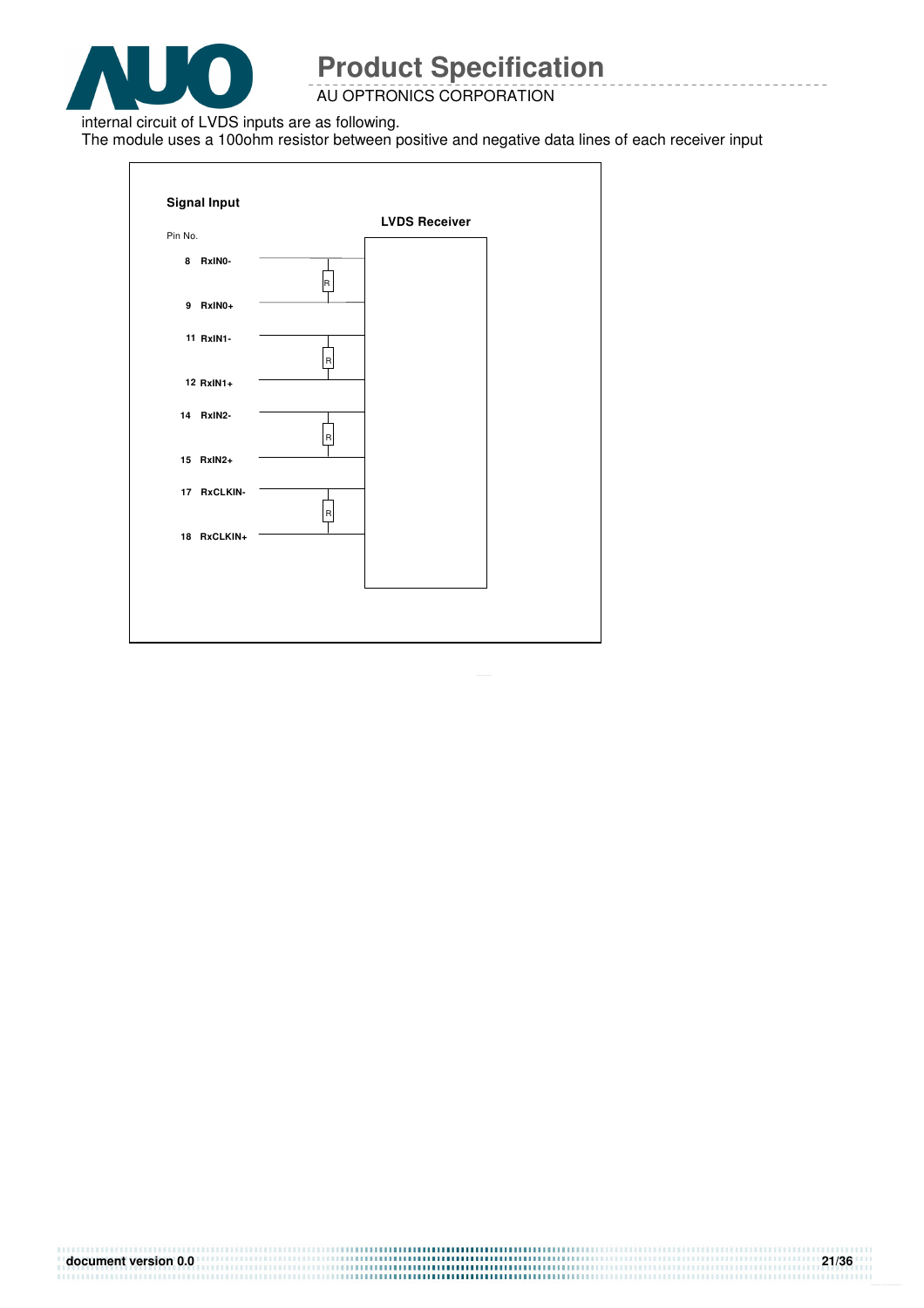

AU OPTRONICS CORPORATION

internal circuit of LVDS inputs are as following.

The module uses a 100ohm resistor between positive and negative data lines of each receiver input

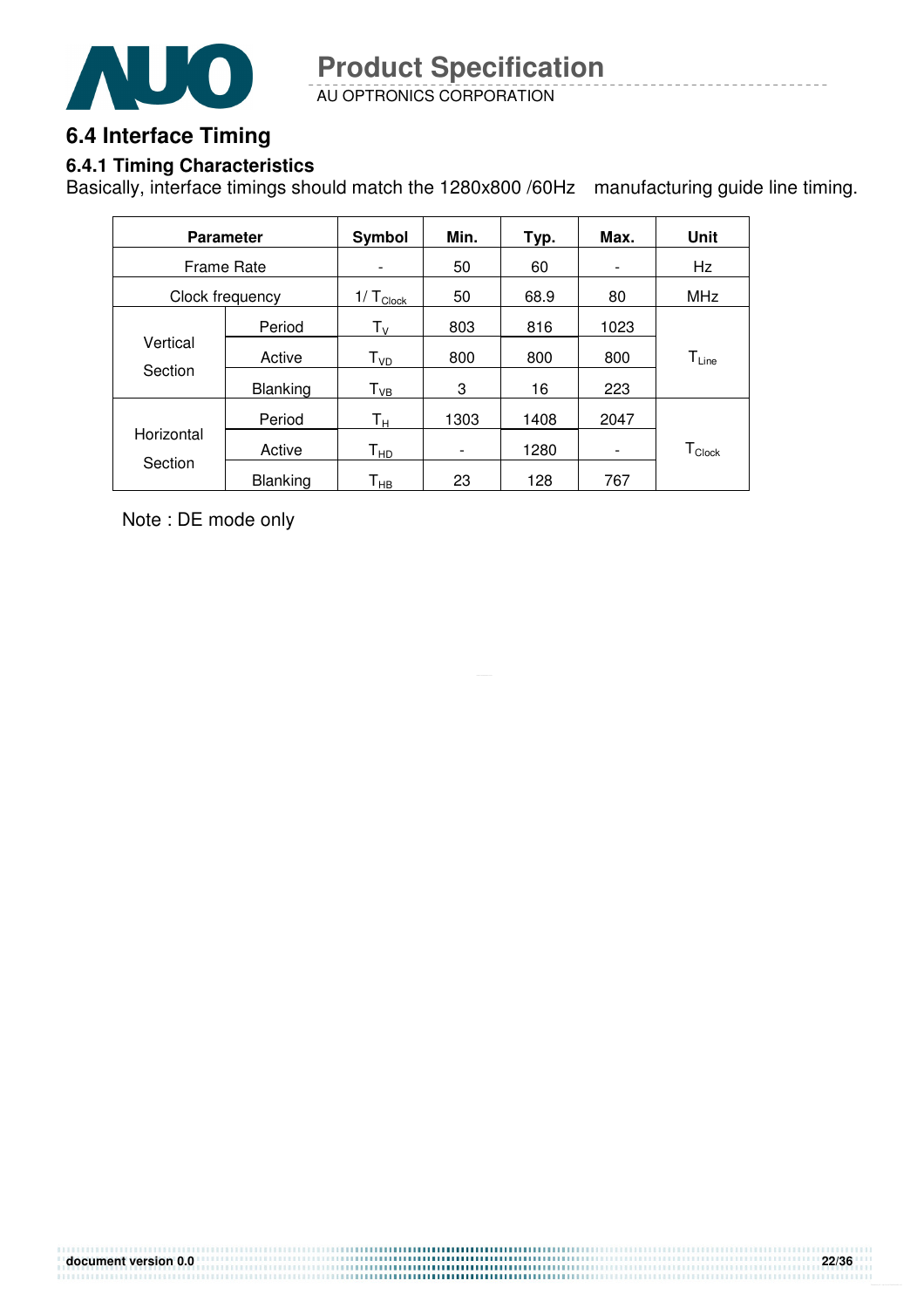

AU OPTRONICS CORPORATION **Product Specification** 

## **6.4 Interface Timing**

#### **6.4.1 Timing Characteristics**

Basically, interface timings should match the 1280x800 /60Hz manufacturing guide line timing.

|                   | <b>Parameter</b> | Symbol                     | Min.                         | Typ. | Max.                     | Unit             |
|-------------------|------------------|----------------------------|------------------------------|------|--------------------------|------------------|
| <b>Frame Rate</b> |                  | $\qquad \qquad$            | 50                           | 60   | -                        | Hz               |
|                   | Clock frequency  | $1/\top_{\text{Clock}}$    | 50                           | 68.9 | 80                       | <b>MHz</b>       |
|                   | Period           | $T_{V}$                    | 803                          | 816  | 1023                     |                  |
| Vertical          | Active           | $T_{VD}$                   | 800                          | 800  | 800                      | $T_{Line}$       |
| Section           | <b>Blanking</b>  | $T_{VB}$                   | 3                            | 16   | 223                      |                  |
|                   | Period           | Tн                         | 1303                         | 1408 | 2047                     |                  |
| Horizontal        | Active           | $\mathsf{T}_{\mathsf{HD}}$ | $\qquad \qquad \blacksquare$ | 1280 | $\overline{\phantom{a}}$ | $T_{\sf{Clock}}$ |
| Section           | <b>Blanking</b>  | Т <sub>нв</sub>            | 23                           | 128  | 767                      |                  |

Note : DE mode only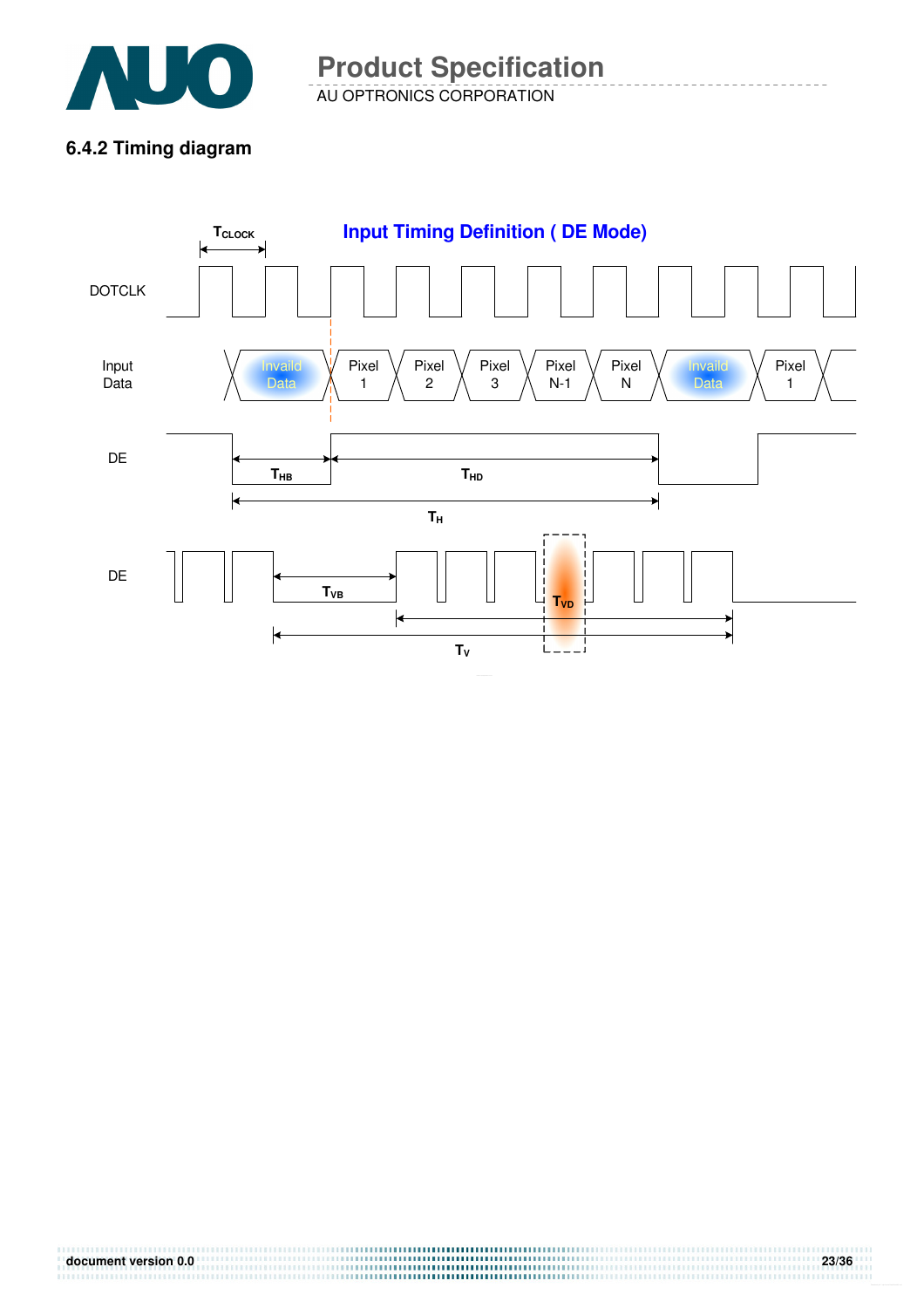

AU OPTRONICS CORPORATION **Product Specification** 

### **6.4.2 Timing diagram**

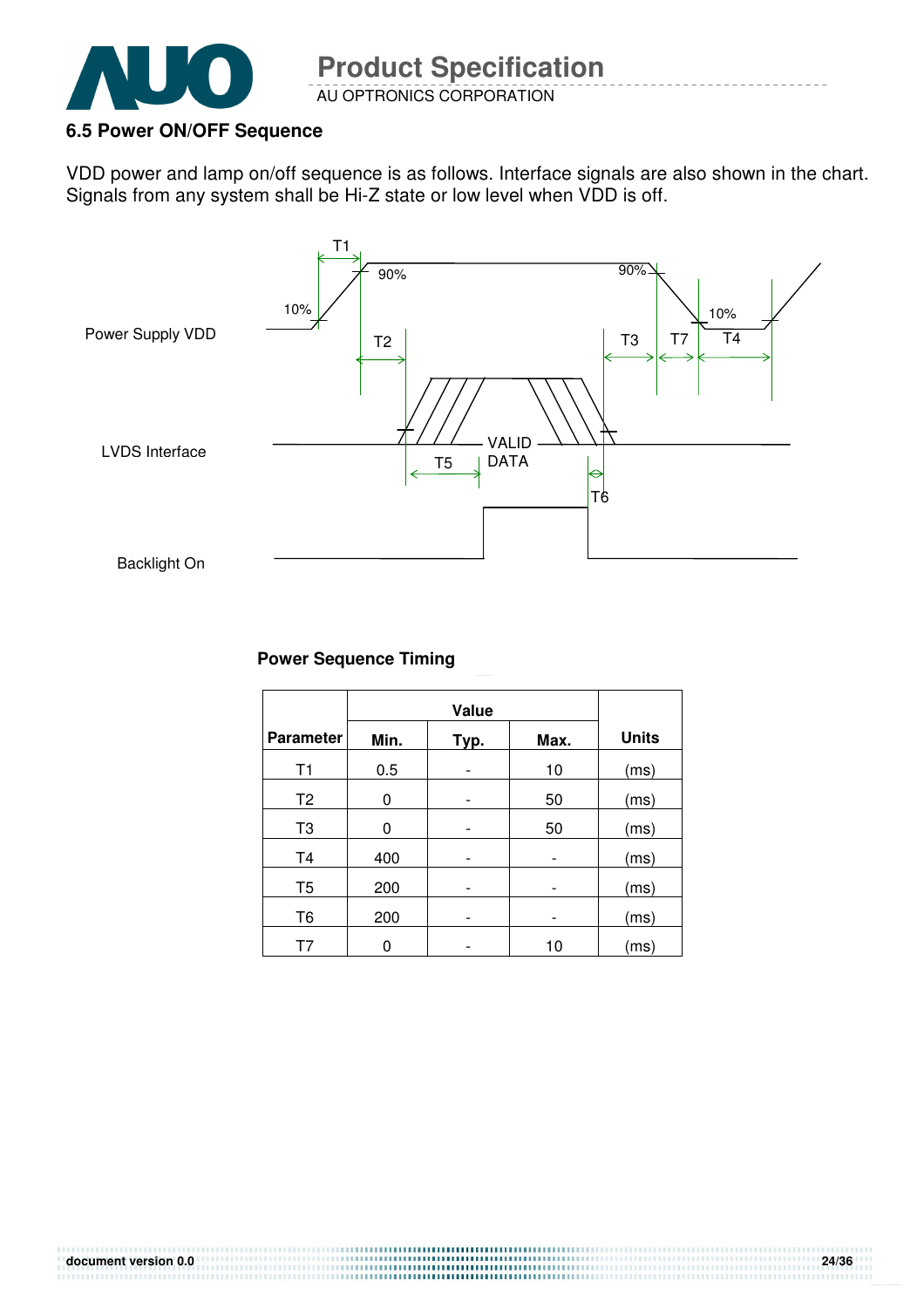

#### **6.5 Power ON/OFF Sequence**

VDD power and lamp on/off sequence is as follows. Interface signals are also shown in the chart. Signals from any system shall be Hi-Z state or low level when VDD is off.



#### **Power Sequence Timing**

| <b>Parameter</b> | Min. | Typ. | Max. | <b>Units</b> |
|------------------|------|------|------|--------------|
| T1               | 0.5  |      | 10   | (ms)         |
| T <sub>2</sub>   | 0    |      | 50   | (ms)         |
| T <sub>3</sub>   | 0    |      | 50   | (ms)         |
| T <sub>4</sub>   | 400  |      | -    | (ms)         |
| T <sub>5</sub>   | 200  |      |      | (ms)         |
| T <sub>6</sub>   | 200  |      |      | (ms)         |
| Τ7               |      |      | 10   | (ms)         |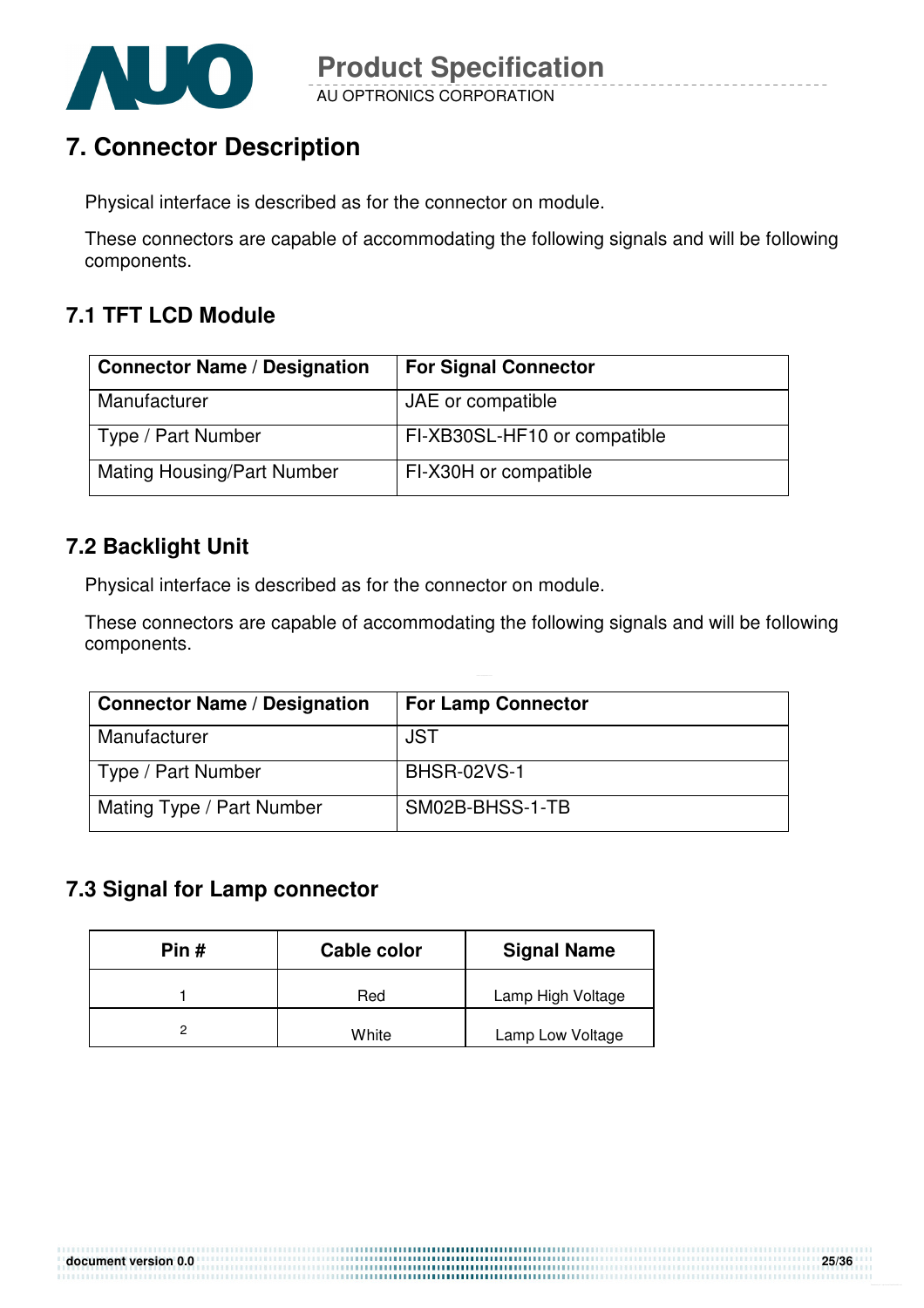

# **7. Connector Description**

Physical interface is described as for the connector on module.

These connectors are capable of accommodating the following signals and will be following components.

### **7.1 TFT LCD Module**

| <b>Connector Name / Designation</b> | <b>For Signal Connector</b>  |
|-------------------------------------|------------------------------|
| Manufacturer                        | JAE or compatible            |
| Type / Part Number                  | FI-XB30SL-HF10 or compatible |
| <b>Mating Housing/Part Number</b>   | FI-X30H or compatible        |

### **7.2 Backlight Unit**

Physical interface is described as for the connector on module.

These connectors are capable of accommodating the following signals and will be following components.

| <b>Connector Name / Designation</b> | <b>For Lamp Connector</b> |
|-------------------------------------|---------------------------|
| Manufacturer                        | <b>JST</b>                |
| Type / Part Number                  | <b>BHSR-02VS-1</b>        |
| Mating Type / Part Number           | SM02B-BHSS-1-TB           |

### **7.3 Signal for Lamp connector**

| Pin # | Cable color | <b>Signal Name</b> |
|-------|-------------|--------------------|
|       | Red         | Lamp High Voltage  |
|       | White       | Lamp Low Voltage   |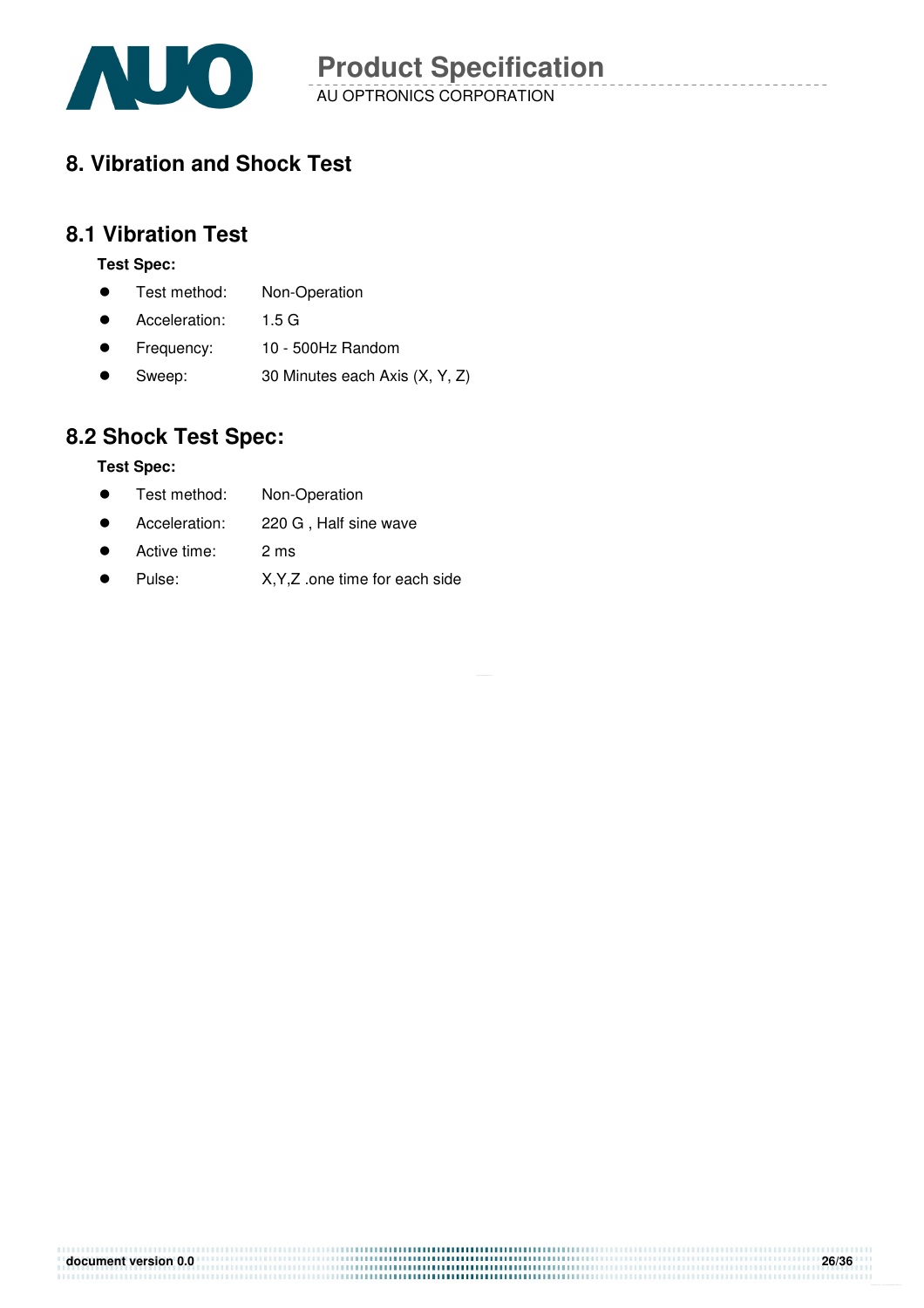

AU OPTRONICS CORPORATION **Product Specification** 

# **8. Vibration and Shock Test**

#### **8.1 Vibration Test**

#### **Test Spec:**

- **•** Test method: Non-Operation
- Acceleration: 1.5 G
- Frequency: 10 500Hz Random
- Sweep: 30 Minutes each Axis (X, Y, Z)

## **8.2 Shock Test Spec:**

#### **Test Spec:**

- **•** Test method: Non-Operation
- Acceleration: 220 G , Half sine wave
- Active time: 2 ms
- Pulse: X, Y, Z .one time for each side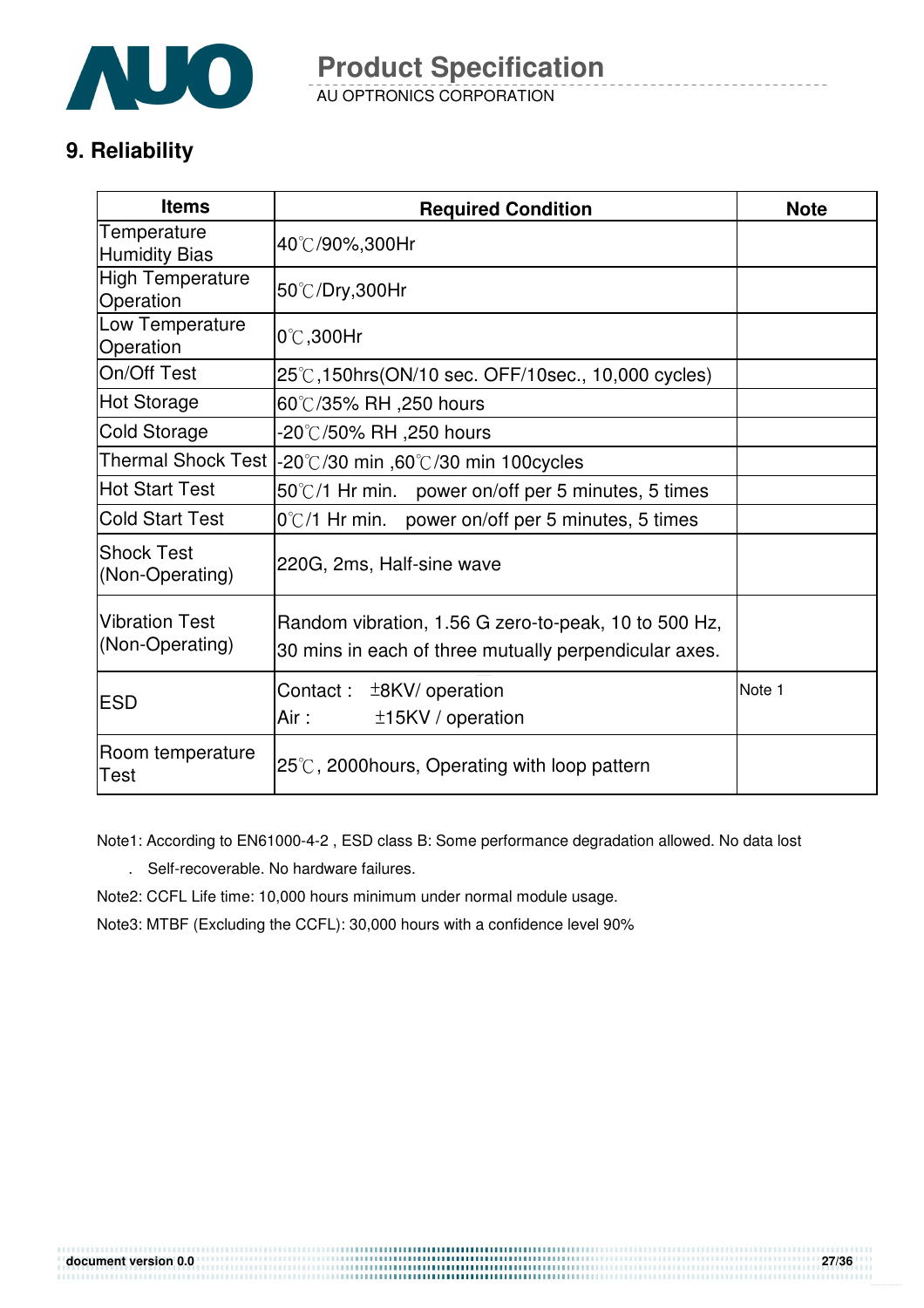

AU OPTRONICS CORPORATION **Product Specification** 

# **9. Reliability**

| <b>Items</b>                             | <b>Required Condition</b>                                                                                     | <b>Note</b> |  |
|------------------------------------------|---------------------------------------------------------------------------------------------------------------|-------------|--|
| Temperature<br><b>Humidity Bias</b>      | 40℃/90%,300Hr                                                                                                 |             |  |
| <b>High Temperature</b><br>Operation     | 50°C/Dry,300Hr                                                                                                |             |  |
| Low Temperature<br>Operation             | $0^{\circ}$ C,300Hr                                                                                           |             |  |
| On/Off Test                              | 25°C, 150hrs(ON/10 sec. OFF/10sec., 10,000 cycles)                                                            |             |  |
| <b>Hot Storage</b>                       | 60℃/35% RH ,250 hours                                                                                         |             |  |
| <b>Cold Storage</b>                      | -20℃/50% RH ,250 hours                                                                                        |             |  |
|                                          | Thermal Shock Test  -20℃/30 min ,60℃/30 min 100cycles                                                         |             |  |
| <b>Hot Start Test</b>                    | 50°C/1 Hr min. power on/off per 5 minutes, 5 times                                                            |             |  |
| <b>Cold Start Test</b>                   | $0^{\circ}$ C/1 Hr min. power on/off per 5 minutes, 5 times                                                   |             |  |
| <b>Shock Test</b><br>(Non-Operating)     | 220G, 2ms, Half-sine wave                                                                                     |             |  |
| <b>Vibration Test</b><br>(Non-Operating) | Random vibration, 1.56 G zero-to-peak, 10 to 500 Hz,<br>30 mins in each of three mutually perpendicular axes. |             |  |
| <b>ESD</b>                               | Note 1<br>Contact:<br>$±8$ KV/ operation<br>Air:<br>±15KV / operation                                         |             |  |
| Room temperature<br>Test                 | $25^{\circ}$ C, 2000 hours, Operating with loop pattern                                                       |             |  |

Note1: According to EN61000-4-2 , ESD class B: Some performance degradation allowed. No data lost

. Self-recoverable. No hardware failures.

Note2: CCFL Life time: 10,000 hours minimum under normal module usage.

Note3: MTBF (Excluding the CCFL): 30,000 hours with a confidence level 90%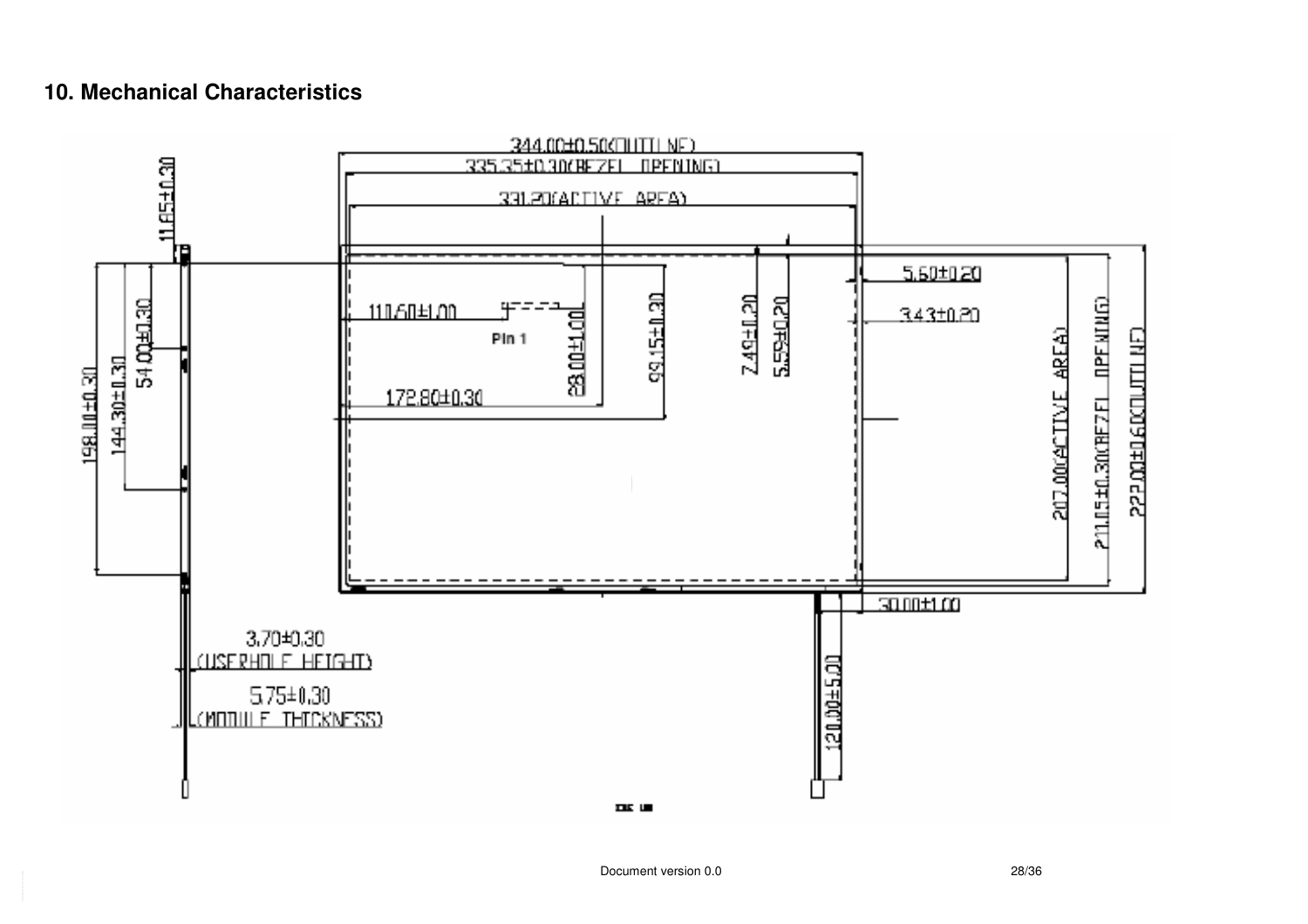### **10. Mechanical Characteristics**

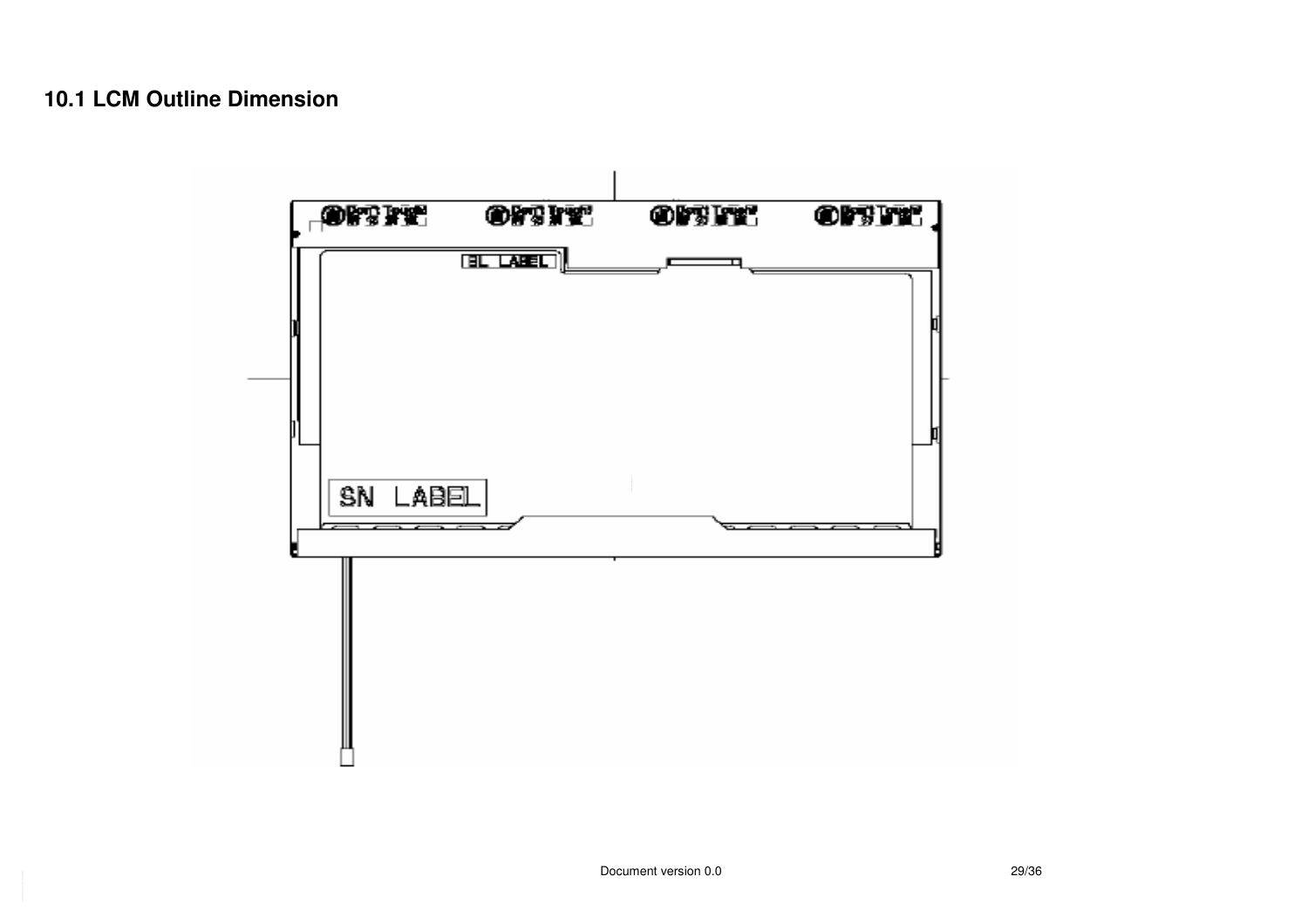### **10.1 LCM Outline Dimension**

![](_page_28_Figure_1.jpeg)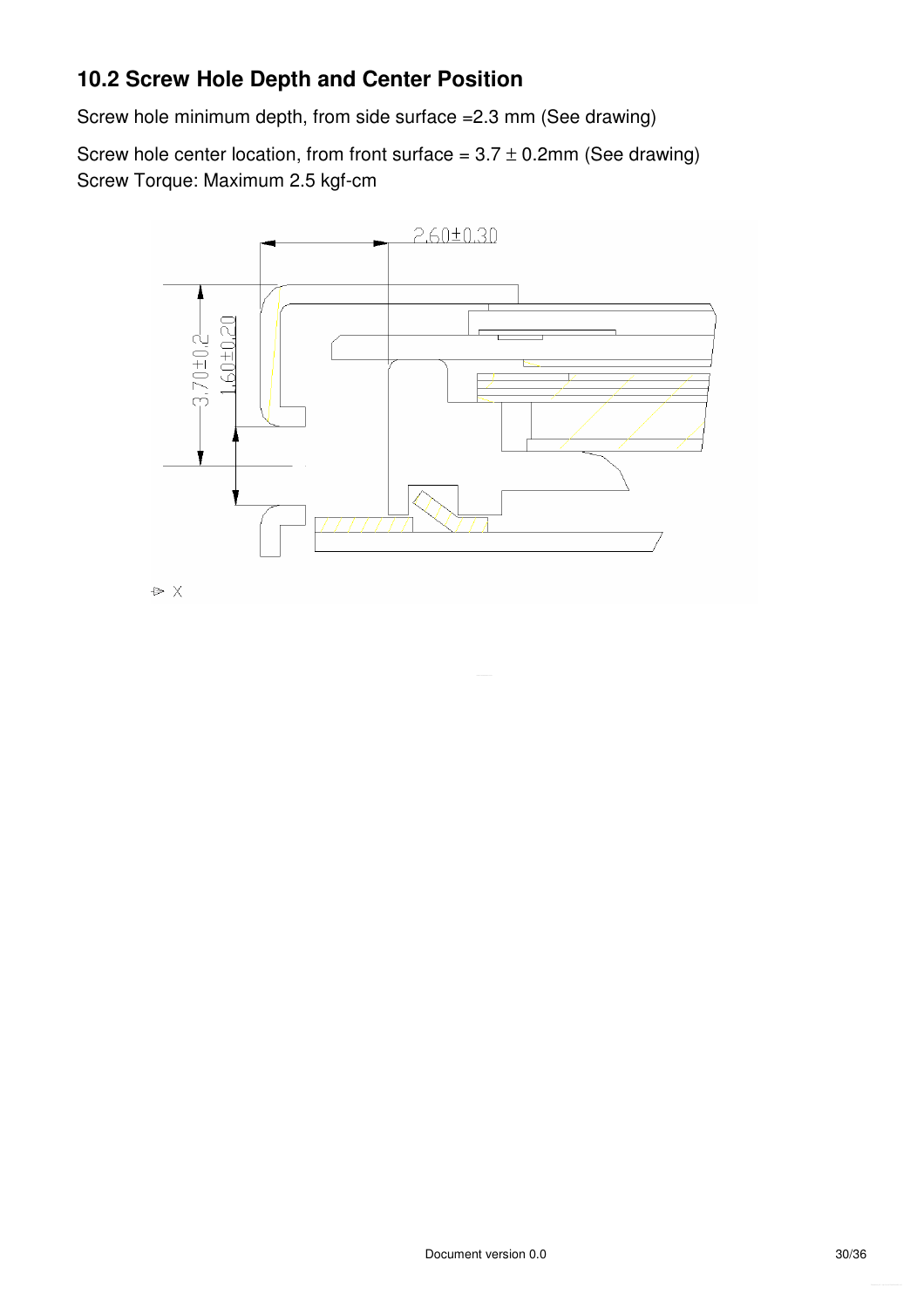## **10.2 Screw Hole Depth and Center Position**

Screw hole minimum depth, from side surface =2.3 mm (See drawing)

Screw hole center location, from front surface =  $3.7 \pm 0.2$ mm (See drawing) Screw Torque: Maximum 2.5 kgf-cm

![](_page_29_Figure_3.jpeg)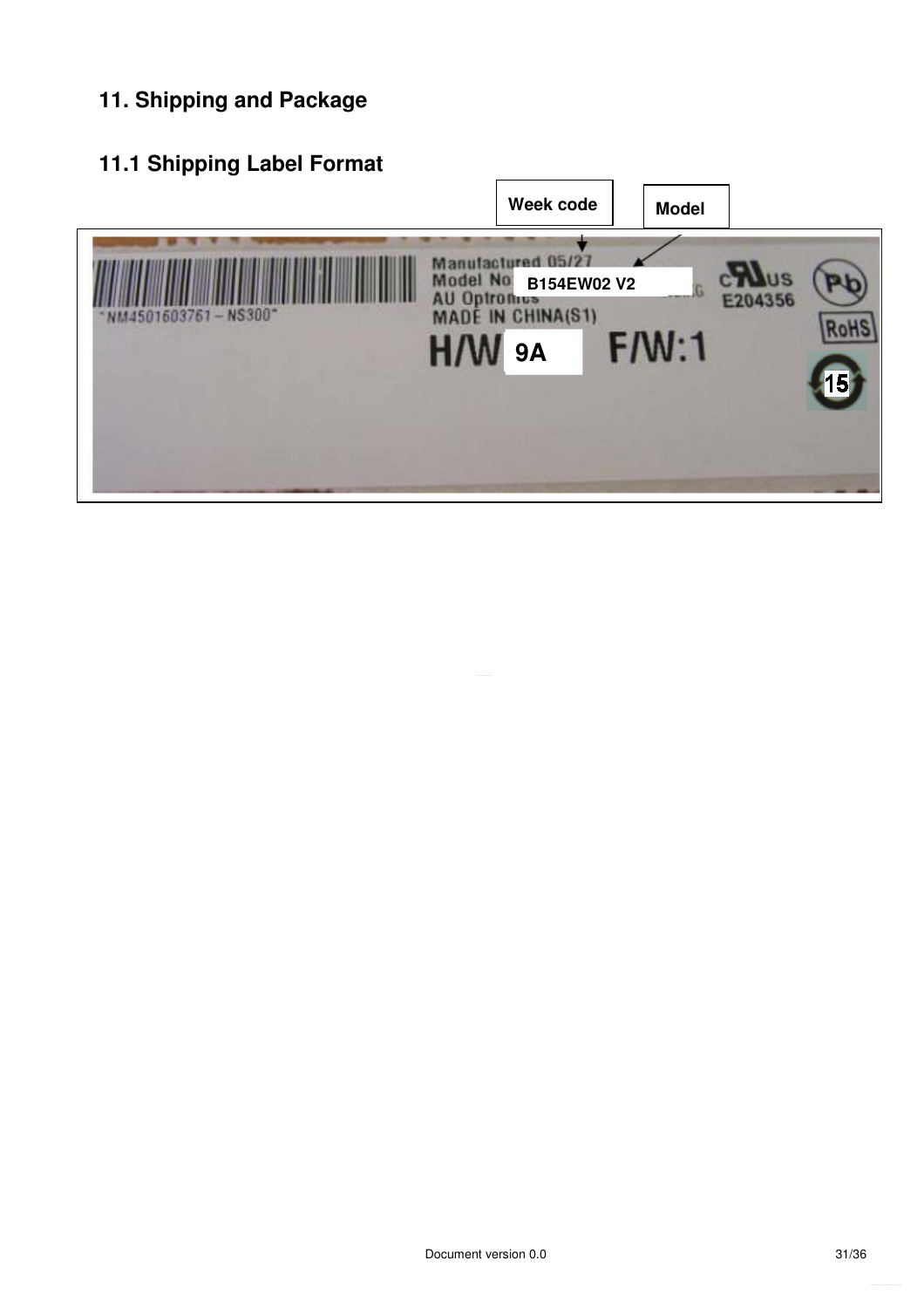# **11. Shipping and Package**

# **11.1 Shipping Label Format**

![](_page_30_Figure_2.jpeg)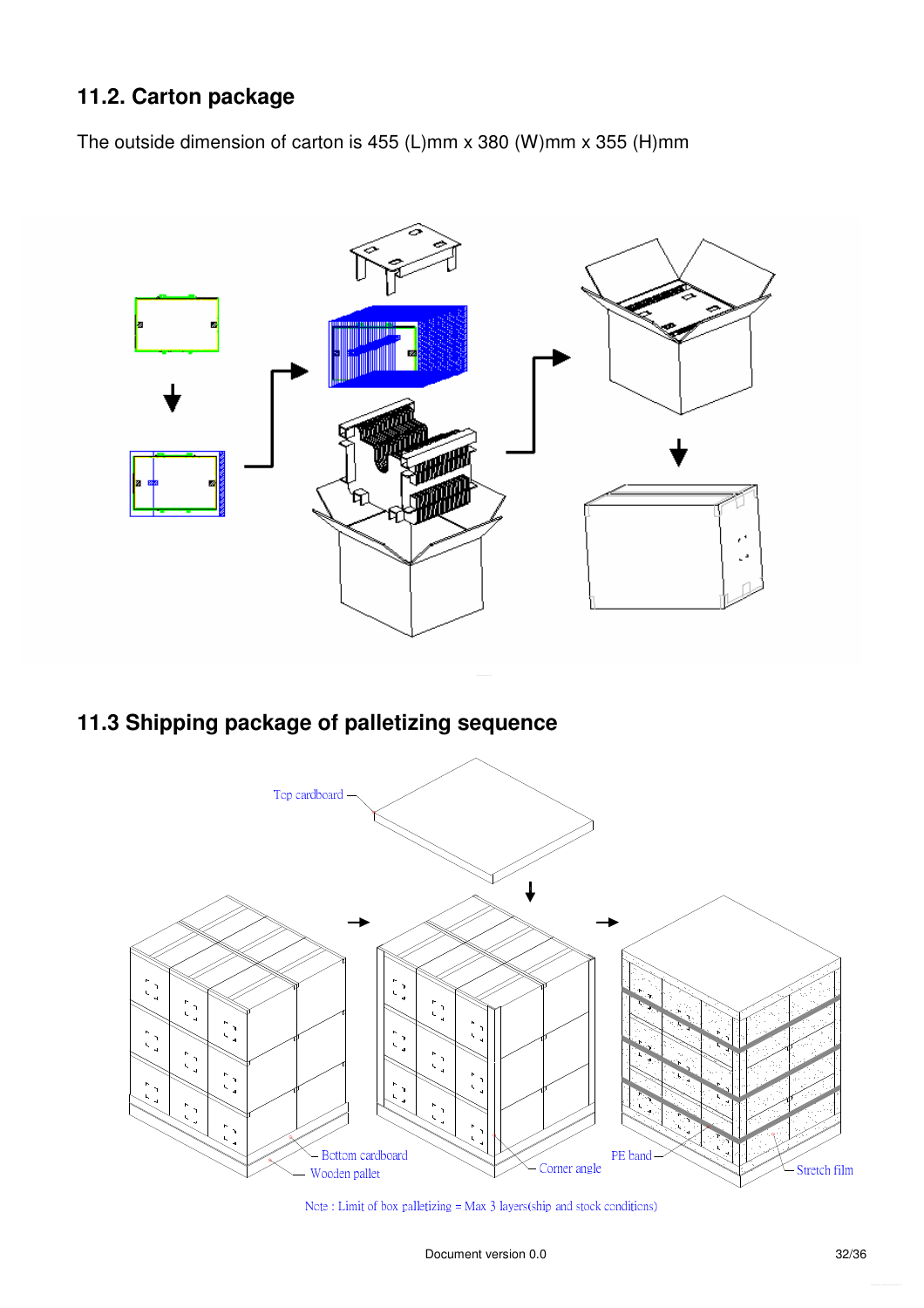# **11.2. Carton package**

The outside dimension of carton is 455 (L)mm x 380 (W)mm x 355 (H)mm

![](_page_31_Figure_2.jpeg)

# **11.3 Shipping package of palletizing sequence**

![](_page_31_Figure_4.jpeg)

Note: Limit of box palletizing = Max 3 layers(ship and stock conditions)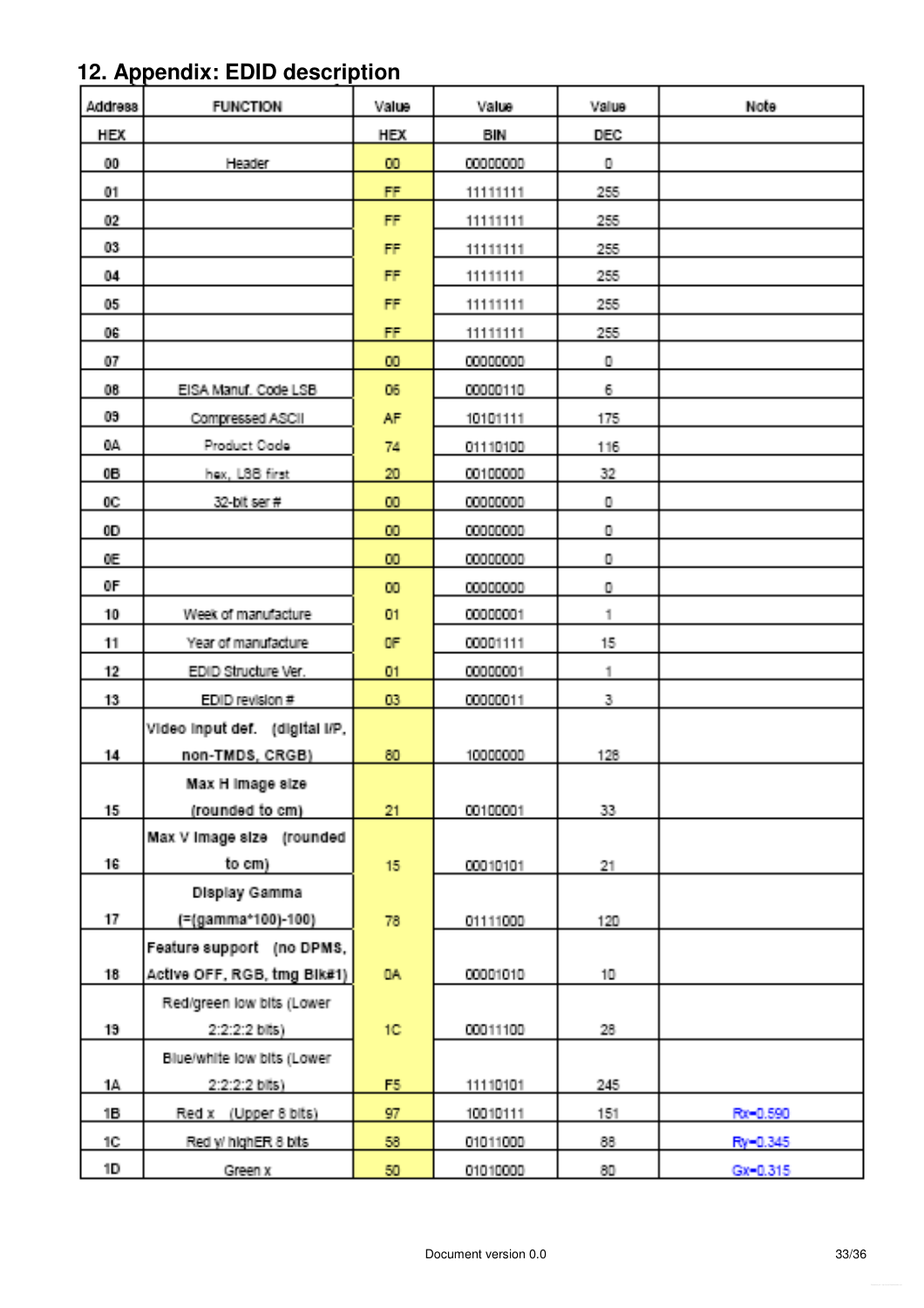# **12. Appendix: EDID description**

| <b>Address</b> | <b>FUNCTION</b>                | Value        | Value    | Value        | Note         |
|----------------|--------------------------------|--------------|----------|--------------|--------------|
| <b>HEX</b>     |                                | <b>HEX</b>   | BIN      | <b>DEC</b>   |              |
| 00             | Header                         | 60           | 00000000 | Ο.           |              |
| 01.            |                                | FF.          | 11111111 | 255          |              |
| 02             |                                | FF.          | 11111111 | 255          |              |
| 83.            |                                | FF           | 11111111 | 255          |              |
| 04             |                                | FF.          | 11111111 | 255          |              |
| 05.            |                                | FF           | 11111111 | 255          |              |
| 06.            |                                | <b>FF</b>    | 11111111 | 255          |              |
| 07             |                                | 00           | 00000000 | $\mathbf 0$  |              |
| 08             | EISA Manuf. Code LSB           | 06           | 00000110 | 6.           |              |
| 09.            | Compressed ASCII               | AF.          | 10101111 | 175          |              |
| ЩA.            | Product Oode                   | 74.          | 01110100 | 116          |              |
| 06.            | hex, LSB first                 | $20\,$       | 00100000 | 32.          |              |
| 00             | 32-bit ser #                   | 100          | 00000000 | $\mathbf 0$  |              |
| 0D.            |                                | <b>CIU</b>   | 00000000 | $\mathbf 0$  |              |
| Œ.             |                                | <b>DD</b>    | 00000000 | $\mathbf 0$  |              |
| ΦF             |                                | m            | 00000000 | $\mathbf 0$  |              |
| 10             | Week of manufacture            | $01$         | 00000001 | $\uparrow$   |              |
| 11             | Year of manufacture            | <b>OF</b>    | 00001111 | 15           |              |
| 12             | EDID Structure Ver.            | 01           | 00000001 | $\mathbb{1}$ |              |
| 13.            | EDID revision #                | D3           | 00000011 | 3.           |              |
|                | Video input def. (digital I/P, |              |          |              |              |
| 14.            | non-TMDS, CRGB)                | 80           | 10000000 | 126          |              |
|                | Max H Image size               |              |          |              |              |
| 15.            | (rounded to cm)                | 21.          | 00100001 | 33.          |              |
|                | Max V Image size (rounded      |              |          |              |              |
| 16.            | to em).                        | 15           | 00010101 | 21.          |              |
|                | <b>Display Gamma</b>           |              |          |              |              |
| 17             | (=(gamma*100)-100)             | 78           | 01111000 | 120          |              |
|                | Feature support (no DPMS,      |              |          |              |              |
| 18.            | Active OFF, RGB, tmg Bik#1)    | IDA:         | 00001010 | 10.          |              |
|                | Red/green low bits (Lower      |              |          |              |              |
| 19             | 2:2:2:2 bits)                  | 101          | 00011100 | 28.          |              |
|                | Blue/white low bits (Lower     |              |          |              |              |
| 14.            | $2:2:2:2$ bits)                | F5.          | 11110101 | 245          |              |
| 16.            | Red x (Upper 8 bits)           | 97           | 10010111 | 151          | Rx=0.590     |
| 10.            | Red y/ highER 8 bits           | 58           | 01011000 | 88.          | Ry-0.345     |
| 1D.            | Green x                        | $50^{\circ}$ | 01010000 | 80.          | $Gx = 0.315$ |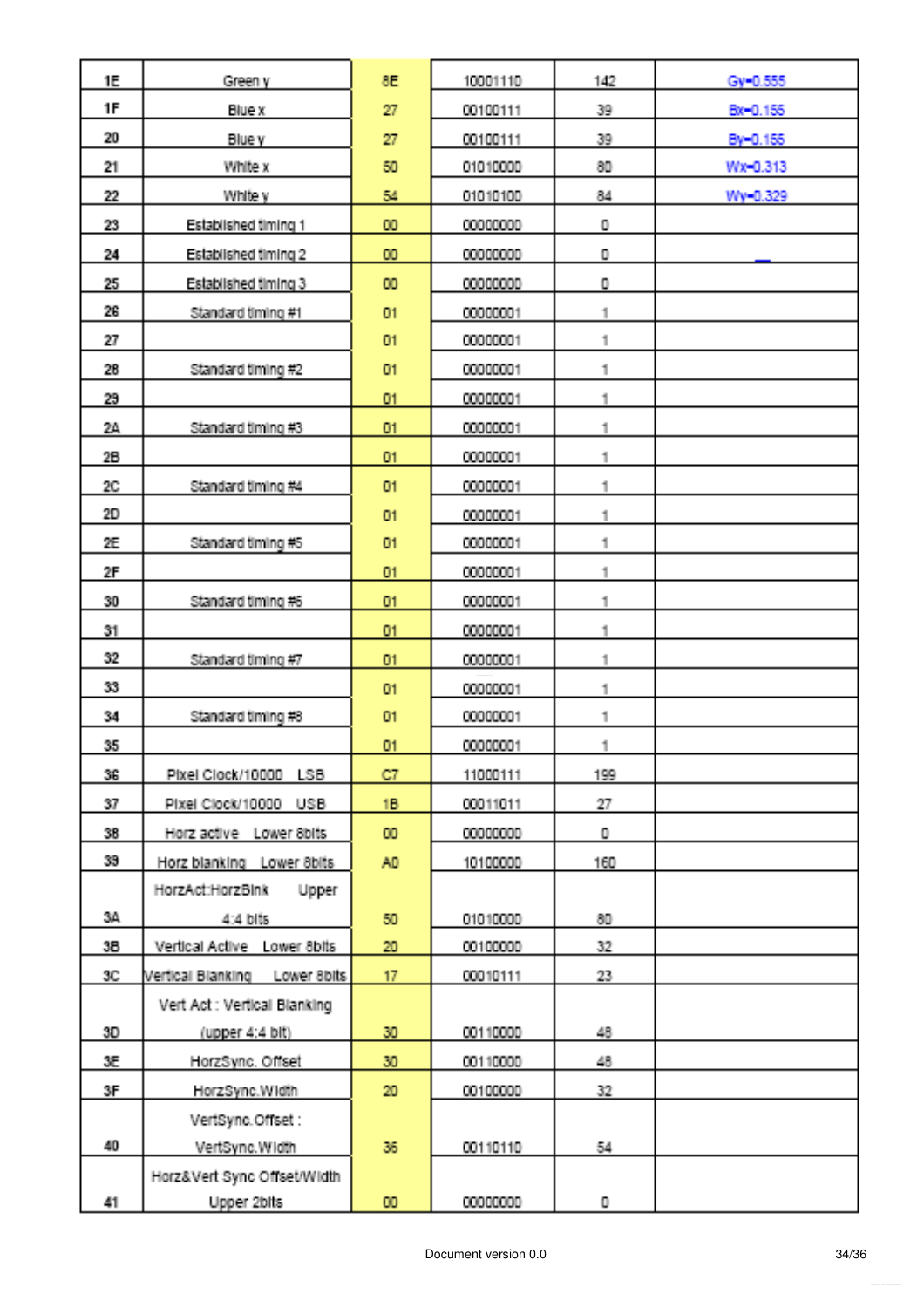| <b>1E</b>         | Green y                          | 8E.             | 10001110 | 142                     | Gy-0.555 |
|-------------------|----------------------------------|-----------------|----------|-------------------------|----------|
| <b>1F</b>         | Blue x                           | 27              | 00100111 | 39.                     | Bx=0.155 |
| 20                | Blue y                           | 27              | 00100111 | 39                      | By-0.155 |
| 21                | White x                          | 50              | 01010000 | 80                      | Wx-0.313 |
| 22                | White y                          | 54              | 01010100 | 84                      | Wy=0.329 |
| 23                | Established fiming 1             | $ 00\rangle$    | 00000000 | $\mathbf 0$             |          |
| 24                | Established fiming 2             | 00              | 00000000 | $\mathbf 0$             |          |
| 25                | Established filming 3            | <b>DD</b>       | 00000000 | 0                       |          |
| 26.               | Standard timing #1               | 01              | 00000001 | 1                       |          |
| $\boldsymbol{27}$ |                                  | 01              | 00000001 | 1                       |          |
| 28                | Standard timing #2               | 01              | 00000001 | 1                       |          |
| 29                |                                  | 01              | 00000001 | 1                       |          |
| 24                | Standard fiming #3               | 01              | 00000001 | 1                       |          |
| 28                |                                  | 01              | 00000001 | 1                       |          |
| 201               | Standard fiming #4               | 01              | 00000001 | 1                       |          |
| 20                |                                  | 01              | 00000001 | 1                       |          |
| Æ                 | Standard fiming #5               | 01              | 00000001 | 1                       |          |
| 2F                |                                  | 01              | 00000001 | 1                       |          |
| 30                | Standard timing #6               | 01              | 00000001 | 1                       |          |
| 31                |                                  | 01              | 00000001 | 1                       |          |
| 32                | Standard fiming #7               | 01              | 00000001 | 1                       |          |
| 33                |                                  | 01              | 00000001 | $\mathring{\mathbb{1}}$ |          |
| 34                | Standard fiming #8               | O1              | 00000001 | 1                       |          |
| 35.               |                                  | 01              | 00000001 | 1                       |          |
| 36.               | Pixel Clock/10000 LSB            | C7              | 11000111 | 199                     |          |
| 37                | Pixel Clock/10000 USB            | 18              | 00011011 | $27\,$                  |          |
| 38.               | Horz active Lower Sbits          | 00 <sub>1</sub> | 00000000 | $\mathbf 0$             |          |
| 39.               | Horz blanking Lower 8bits        | AD              | 10100000 | 160                     |          |
|                   | HorzAct:HorzBink<br><b>Upper</b> |                 |          |                         |          |
| 34.               | 4:4 bits                         | 50              | 01010000 | 80.                     |          |
| 38                | Vertical Active Lower 8bits      | $20\,$          | 00100000 | 32                      |          |
| $30^\circ$        | Vertical Blanking Lower 8bits    | 17 <sub>l</sub> | 00010111 | $23\,$                  |          |
|                   | Vert Act : Vertical Blanking     |                 |          |                         |          |
| 30                | (upper $4:4$ bit)                | 30              | 00110000 | 48.                     |          |
| 3E.               | HorzSync. Offset                 | 30              | 00110000 | 48.                     |          |
| $\mathbb{Z}^n$    | HorzSync.Width                   | 20              | 00100000 | 32                      |          |
|                   | VertSync.Offset:                 |                 |          |                         |          |
| 40                | VertSync.Width                   | 36.             | 00110110 | 54                      |          |
|                   | Horz‖ Sync Offset/Width          |                 |          |                         |          |
| 41.               | Upper 2bits                      | 00              | 00000000 | Ü                       |          |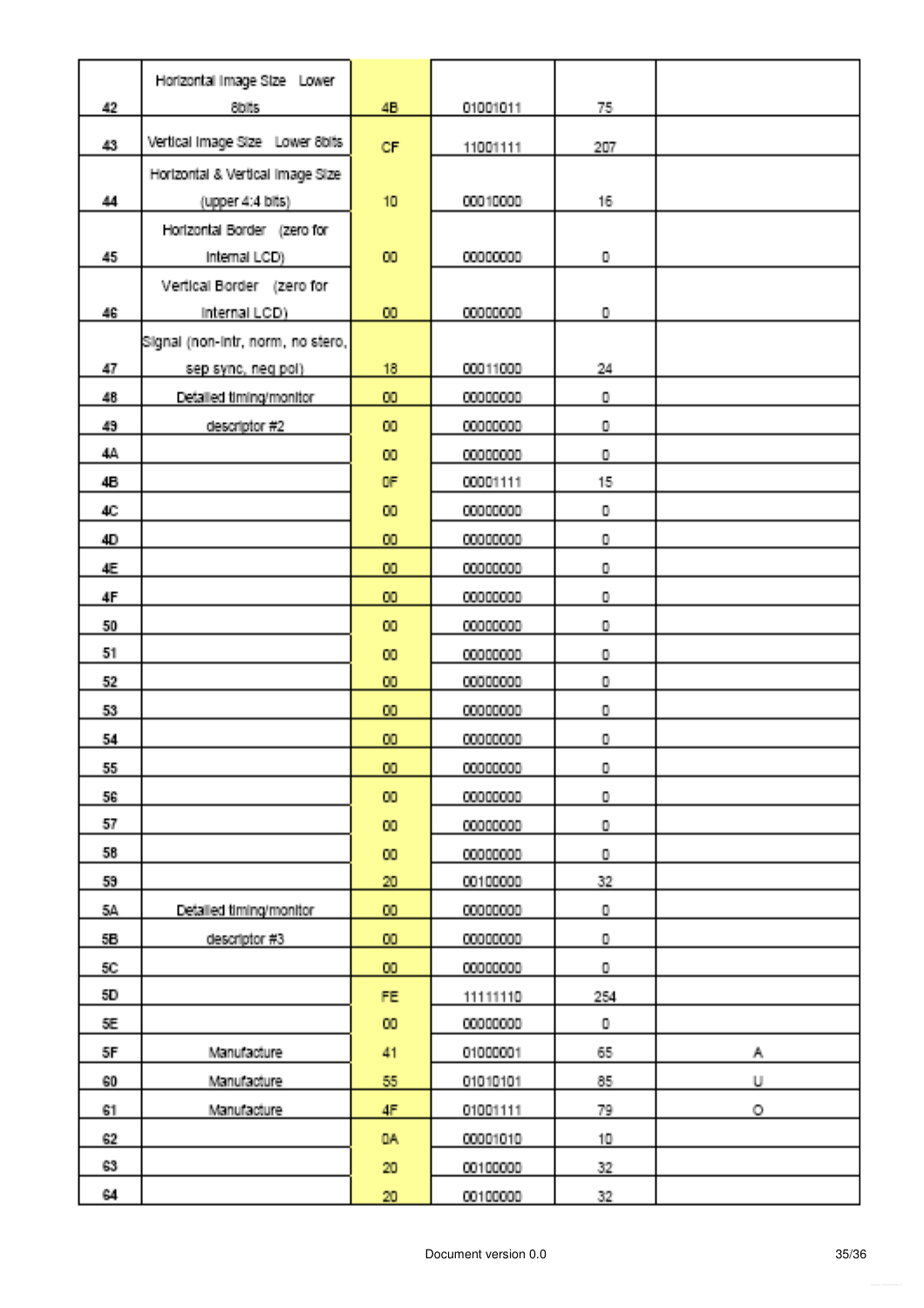|                 | Horizontal Image Stze Lower       |                 |          |             |    |
|-----------------|-----------------------------------|-----------------|----------|-------------|----|
| 42              | Sbills.                           | 48              | 01001011 | 75.         |    |
| 43              | Vertical Image Size Lower 8bits   | <b>CF</b>       | 11001111 | 207         |    |
|                 | Horizontal & Vertical Image Size  |                 |          |             |    |
| 44              | (upper 4:4 bits)                  | 10              | 00010000 | 16          |    |
|                 | Horizontal Border (zero for       |                 |          |             |    |
| 45.             | Internal LCD)                     | <b>CO</b>       | 00000000 | 0.          |    |
|                 | Vertical Border (zero for         |                 |          |             |    |
| 46              | Internal LCD)                     | 00              | 00000000 | $\mathbf 0$ |    |
|                 | Signal (non-intr, norm, no stero, |                 |          |             |    |
| 47              | sep sync, neg pol)                | 18              | 00011000 | 24          |    |
| 48              | Detailed timing/monitor           | 00              | 00000000 | $\mathbf 0$ |    |
| 49              | descriptor #2                     | 50              | 00000000 | 0           |    |
| 44.             |                                   | 00              | 00000000 | $\mathbf 0$ |    |
| 46.             |                                   | OF              | 00001111 | 15.         |    |
| 40.             |                                   | 00              | 00000000 | $\mathbf 0$ |    |
| 40              |                                   | 00              | 00000000 | $\mathbf 0$ |    |
| 4E              |                                   | 00              | 00000000 | $\mathbf 0$ |    |
| 4F              |                                   | 00              | 00000000 | $\mathbf 0$ |    |
| 50 <sub>1</sub> |                                   | <b>CO</b>       | 00000000 | $\mathbf 0$ |    |
| 51              |                                   | 00              | 00000000 | $\mathbf 0$ |    |
| 52              |                                   | $\mathbf{m}$    | 00000000 | $\mathbf 0$ |    |
| 53              |                                   | 00              | 00000000 | $\mathbf 0$ |    |
| 54.             |                                   | 60              | 00000000 | 0           |    |
| 55.             |                                   | <b>DO</b>       | 00000000 | $\mathbf 0$ |    |
| 56.             |                                   | 100             | 00000000 | 0           |    |
| 57              |                                   | 100             | 00000000 | 0           |    |
| 58.             |                                   | <b>CO</b>       | 00000000 | $\mathbf 0$ |    |
| 59.             |                                   | 20              | 00100000 | 32          |    |
| $5\hbar$        | Detailed timing/monitor           | 100             | 00000000 | 0           |    |
| 56.             | descriptor #3                     | m               | 00000000 | 0           |    |
| $50^\circ$      |                                   | 00 <sub>1</sub> | 00000000 | $\mathbf 0$ |    |
| 50.             |                                   | FE.             | 11111110 | 254         |    |
| SE.             |                                   | 100             | 00000000 | U.          |    |
| 5F.             | Manufacture                       | 41              | 01000001 | 65.         | A. |
| 60              | Manufacture                       | 55              | 01010101 | 85.         | U. |
| 61              | Manufacture                       | Æ.              | 01001111 | 79.         | Ο. |
| 62.             |                                   | <b>OA</b>       | 00001010 | 10.         |    |
| 63.             |                                   | $20\,$          | 00100000 | 32          |    |
| 64.             |                                   | $20\,$          | 00100000 | 32.         |    |